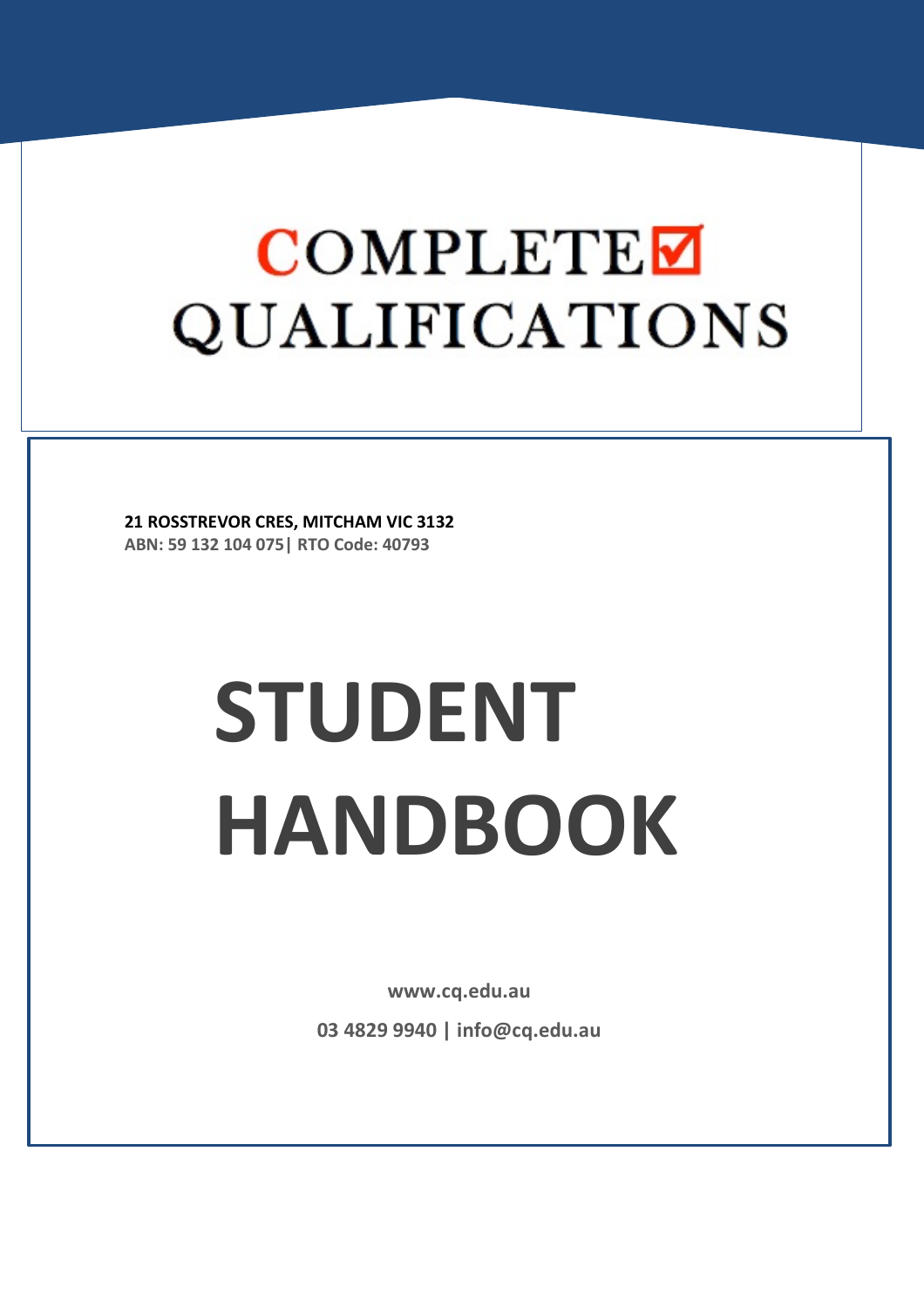**21 ROSSTREVOR CRES, MITCHAM VIC 3132 ABN: 59 132 104 075| RTO Code: 40793**

# **STUDENT HANDBOOK**

**www.cq.edu.au**

**03 4829 9940 | info@cq.edu.au**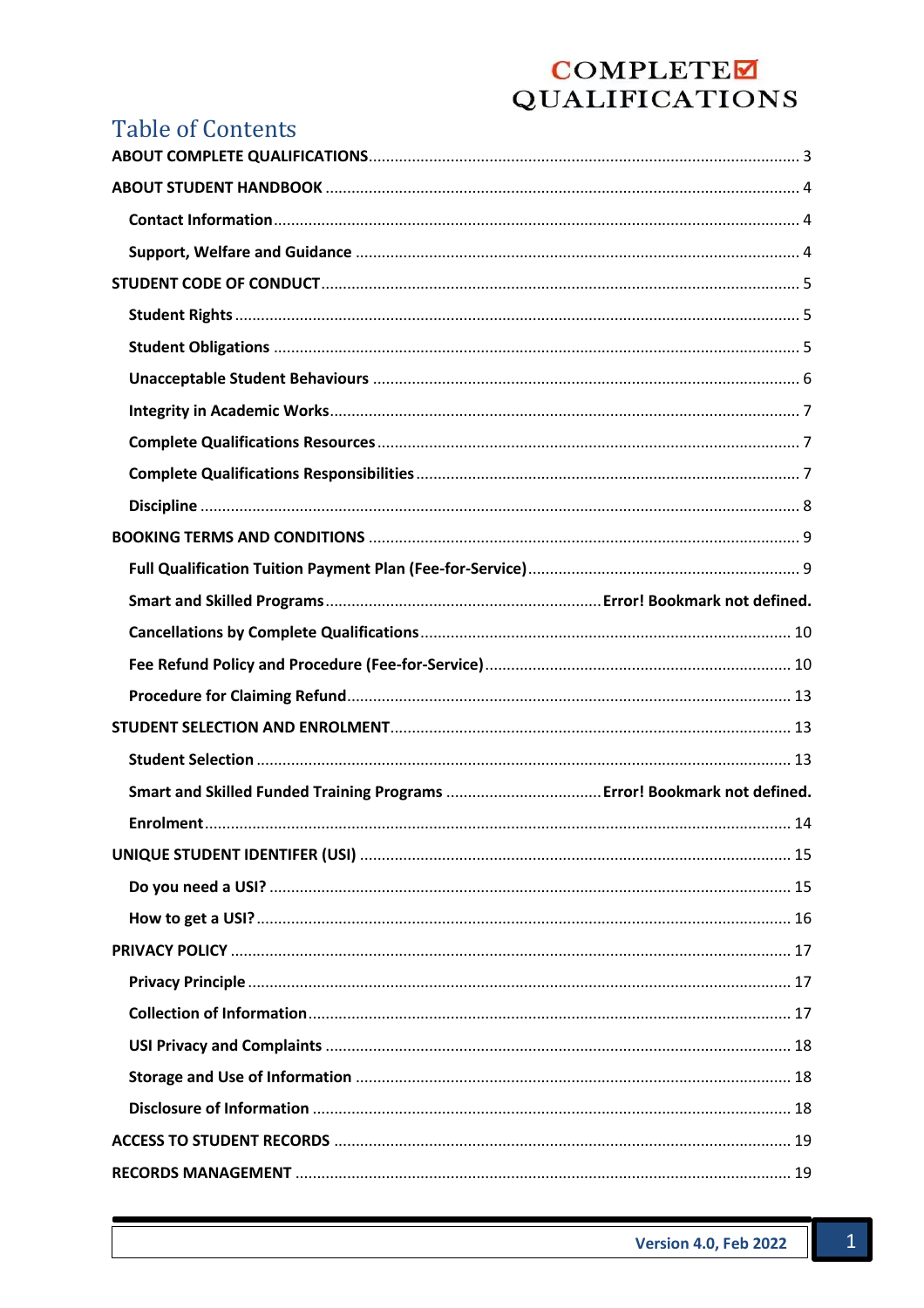## **Table of Contents**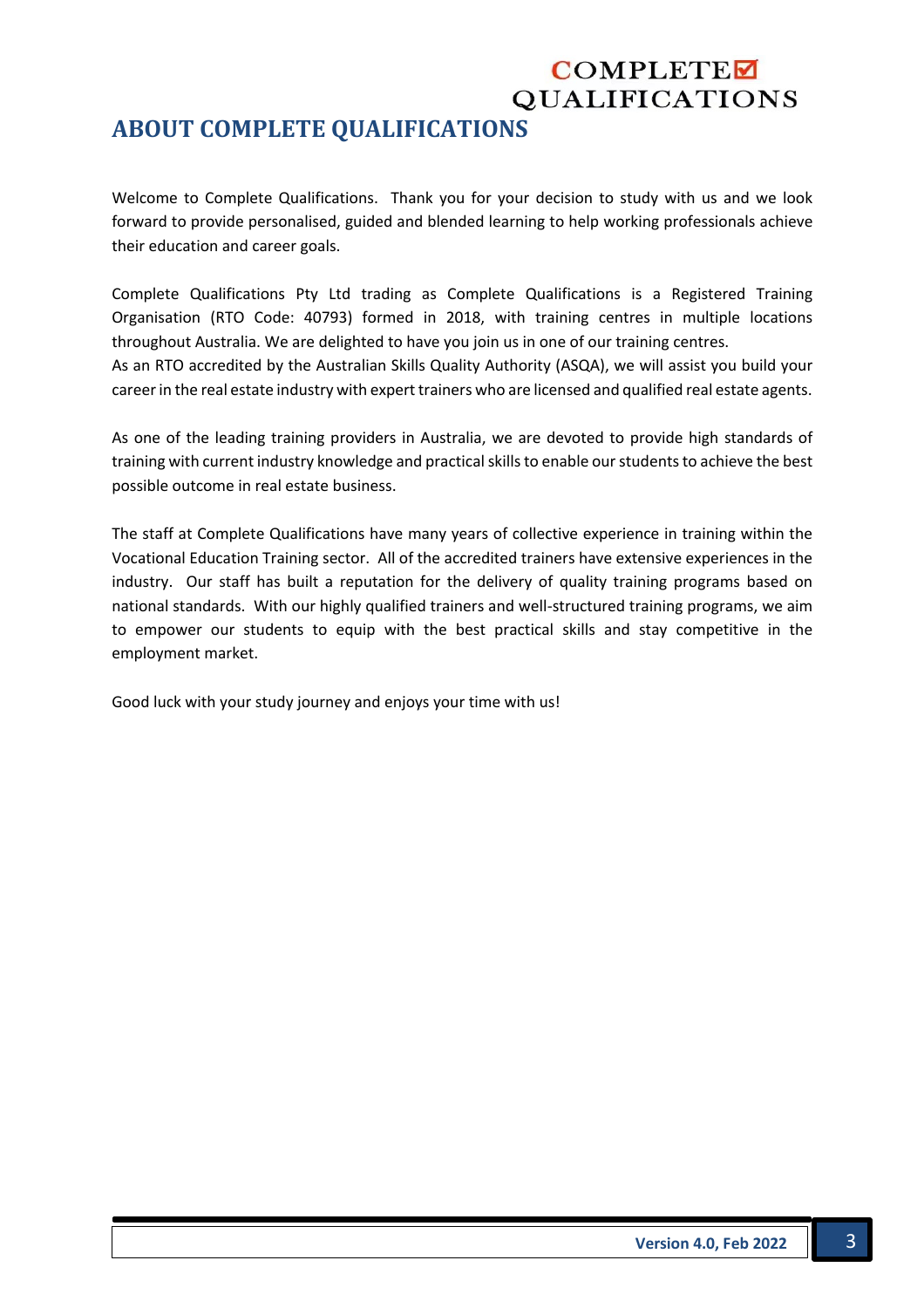## **ABOUT COMPLETE QUALIFICATIONS**

Welcome to Complete Qualifications. Thank you for your decision to study with us and we look forward to provide personalised, guided and blended learning to help working professionals achieve their education and career goals.

Complete Qualifications Pty Ltd trading as Complete Qualifications is a Registered Training Organisation (RTO Code: 40793) formed in 2018, with training centres in multiple locations throughout Australia. We are delighted to have you join us in one of our training centres. As an RTO accredited by the Australian Skills Quality Authority (ASQA), we will assist you build your career in the real estate industry with expert trainers who are licensed and qualified real estate agents.

As one of the leading training providers in Australia, we are devoted to provide high standards of training with current industry knowledge and practical skills to enable our students to achieve the best possible outcome in real estate business.

The staff at Complete Qualifications have many years of collective experience in training within the Vocational Education Training sector. All of the accredited trainers have extensive experiences in the industry. Our staff has built a reputation for the delivery of quality training programs based on national standards. With our highly qualified trainers and well-structured training programs, we aim to empower our students to equip with the best practical skills and stay competitive in the employment market.

Good luck with your study journey and enjoys your time with us!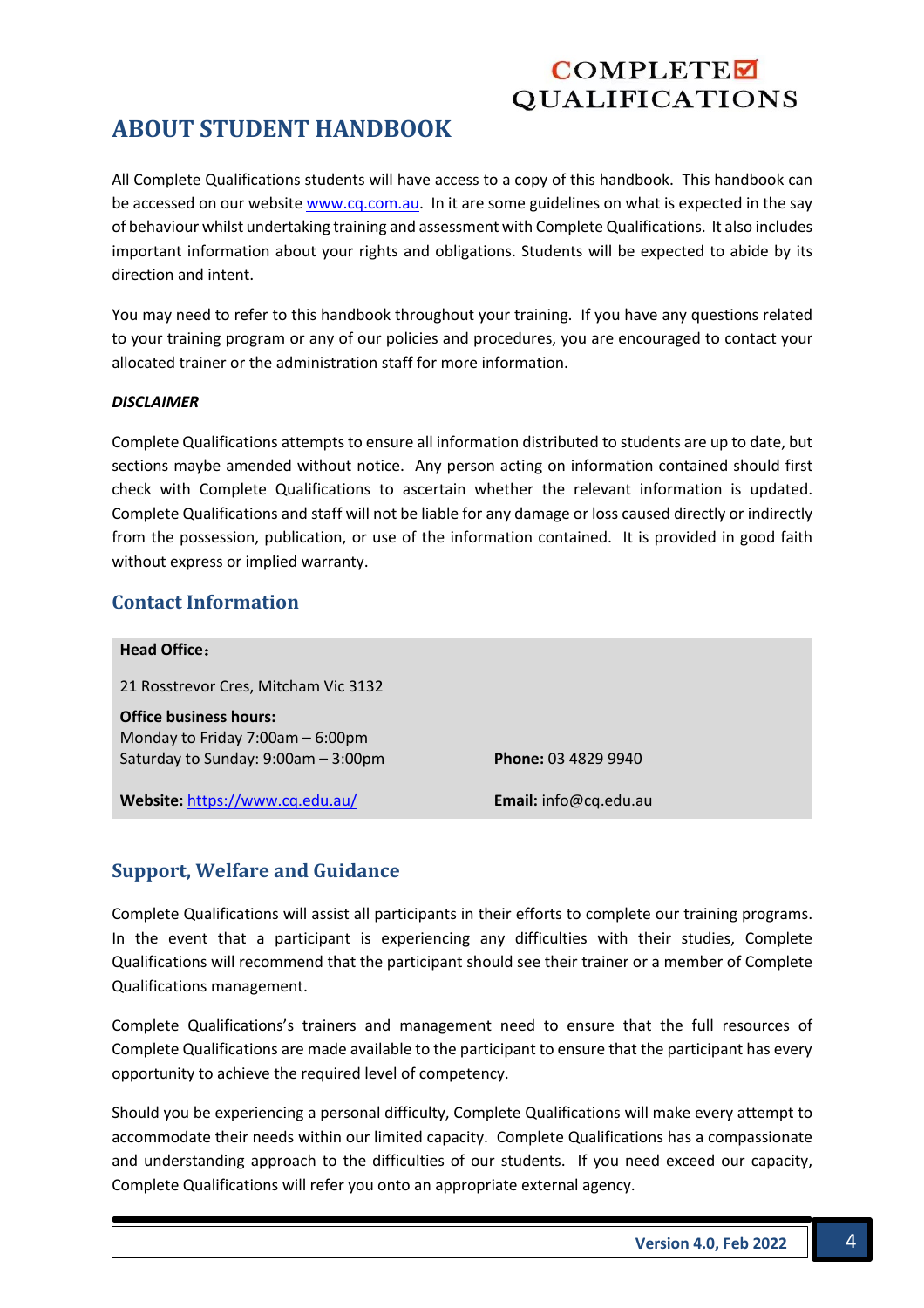## **ABOUT STUDENT HANDBOOK**

All Complete Qualifications students will have access to a copy of this handbook. This handbook can be accessed on our website www.cq.com.au. In it are some guidelines on what is expected in the say of behaviour whilst undertaking training and assessment with Complete Qualifications. It also includes important information about your rights and obligations. Students will be expected to abide by its direction and intent.

You may need to refer to this handbook throughout your training. If you have any questions related to your training program or any of our policies and procedures, you are encouraged to contact your allocated trainer or the administration staff for more information.

#### *DISCLAIMER*

Complete Qualifications attempts to ensure all information distributed to students are up to date, but sections maybe amended without notice. Any person acting on information contained should first check with Complete Qualifications to ascertain whether the relevant information is updated. Complete Qualifications and staff will not be liable for any damage or loss caused directly or indirectly from the possession, publication, or use of the information contained. It is provided in good faith without express or implied warranty.

#### **Contact Information**

| <b>Head Office:</b>                                                                                      |                            |
|----------------------------------------------------------------------------------------------------------|----------------------------|
| 21 Rosstrevor Cres, Mitcham Vic 3132                                                                     |                            |
| <b>Office business hours:</b><br>Monday to Friday 7:00am - 6:00pm<br>Saturday to Sunday: 9:00am - 3:00pm | <b>Phone: 03 4829 9940</b> |
| Website: https://www.cq.edu.au/                                                                          | Email: info@cq.edu.au      |
|                                                                                                          |                            |

#### **Support, Welfare and Guidance**

Complete Qualifications will assist all participants in their efforts to complete our training programs. In the event that a participant is experiencing any difficulties with their studies, Complete Qualifications will recommend that the participant should see their trainer or a member of Complete Qualifications management.

Complete Qualifications's trainers and management need to ensure that the full resources of Complete Qualifications are made available to the participant to ensure that the participant has every opportunity to achieve the required level of competency.

Should you be experiencing a personal difficulty, Complete Qualifications will make every attempt to accommodate their needs within our limited capacity. Complete Qualifications has a compassionate and understanding approach to the difficulties of our students. If you need exceed our capacity, Complete Qualifications will refer you onto an appropriate external agency.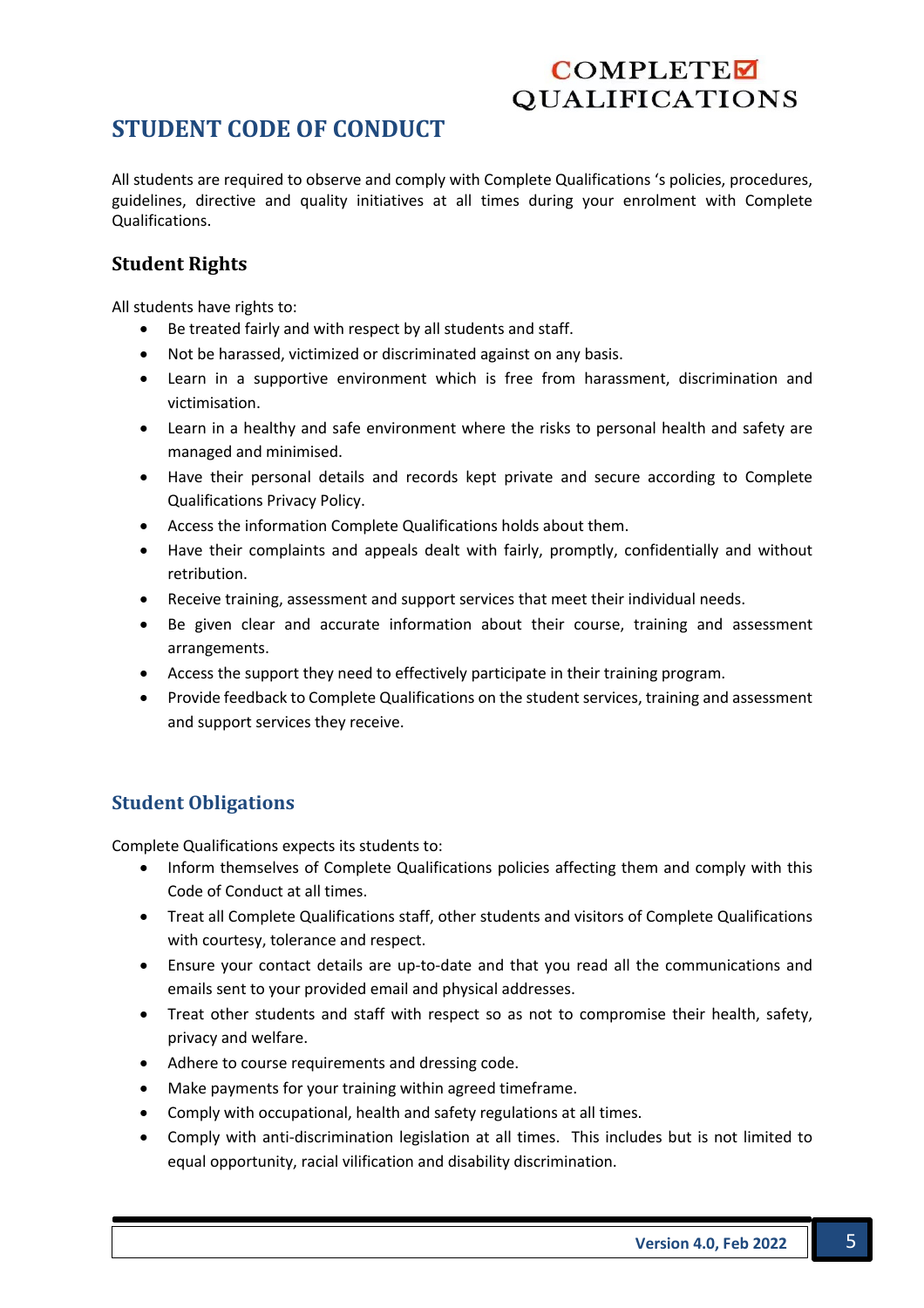## **STUDENT CODE OF CONDUCT**

All students are required to observe and comply with Complete Qualifications 's policies, procedures, guidelines, directive and quality initiatives at all times during your enrolment with Complete Qualifications.

### **Student Rights**

All students have rights to:

- Be treated fairly and with respect by all students and staff.
- Not be harassed, victimized or discriminated against on any basis.
- Learn in a supportive environment which is free from harassment, discrimination and victimisation.
- Learn in a healthy and safe environment where the risks to personal health and safety are managed and minimised.
- Have their personal details and records kept private and secure according to Complete Qualifications Privacy Policy.
- Access the information Complete Qualifications holds about them.
- Have their complaints and appeals dealt with fairly, promptly, confidentially and without retribution.
- Receive training, assessment and support services that meet their individual needs.
- Be given clear and accurate information about their course, training and assessment arrangements.
- Access the support they need to effectively participate in their training program.
- Provide feedback to Complete Qualifications on the student services, training and assessment and support services they receive.

## **Student Obligations**

Complete Qualifications expects its students to:

- Inform themselves of Complete Qualifications policies affecting them and comply with this Code of Conduct at all times.
- Treat all Complete Qualifications staff, other students and visitors of Complete Qualifications with courtesy, tolerance and respect.
- Ensure your contact details are up-to-date and that you read all the communications and emails sent to your provided email and physical addresses.
- Treat other students and staff with respect so as not to compromise their health, safety, privacy and welfare.
- Adhere to course requirements and dressing code.
- Make payments for your training within agreed timeframe.
- Comply with occupational, health and safety regulations at all times.
- Comply with anti-discrimination legislation at all times. This includes but is not limited to equal opportunity, racial vilification and disability discrimination.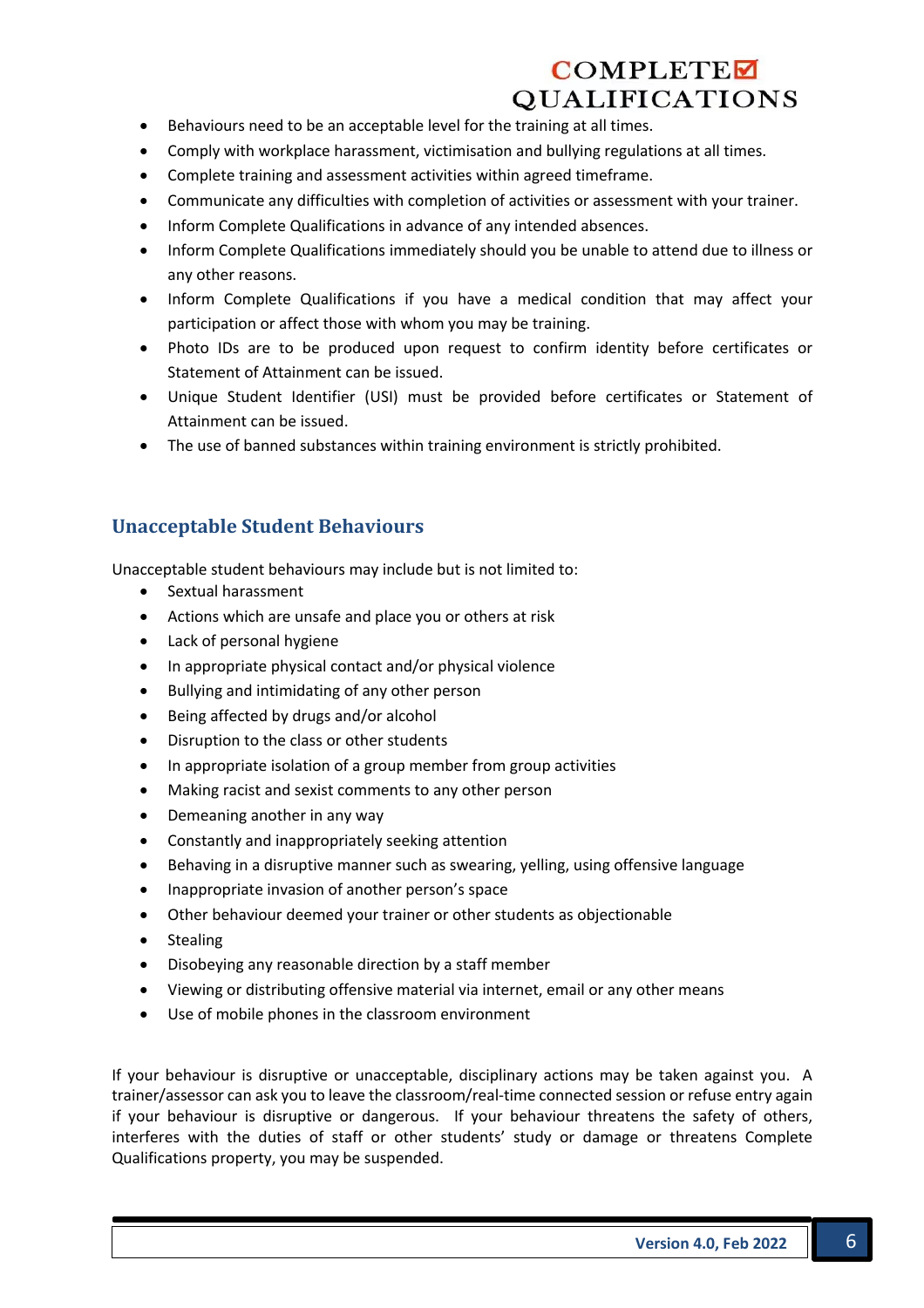- Behaviours need to be an acceptable level for the training at all times.
- Comply with workplace harassment, victimisation and bullying regulations at all times.
- Complete training and assessment activities within agreed timeframe.
- Communicate any difficulties with completion of activities or assessment with your trainer.
- Inform Complete Qualifications in advance of any intended absences.
- Inform Complete Qualifications immediately should you be unable to attend due to illness or any other reasons.
- Inform Complete Qualifications if you have a medical condition that may affect your participation or affect those with whom you may be training.
- Photo IDs are to be produced upon request to confirm identity before certificates or Statement of Attainment can be issued.
- Unique Student Identifier (USI) must be provided before certificates or Statement of Attainment can be issued.
- The use of banned substances within training environment is strictly prohibited.

#### **Unacceptable Student Behaviours**

Unacceptable student behaviours may include but is not limited to:

- Sextual harassment
- Actions which are unsafe and place you or others at risk
- Lack of personal hygiene
- In appropriate physical contact and/or physical violence
- Bullying and intimidating of any other person
- Being affected by drugs and/or alcohol
- Disruption to the class or other students
- In appropriate isolation of a group member from group activities
- Making racist and sexist comments to any other person
- Demeaning another in any way
- Constantly and inappropriately seeking attention
- Behaving in a disruptive manner such as swearing, yelling, using offensive language
- Inappropriate invasion of another person's space
- Other behaviour deemed your trainer or other students as objectionable
- Stealing
- Disobeying any reasonable direction by a staff member
- Viewing or distributing offensive material via internet, email or any other means
- Use of mobile phones in the classroom environment

If your behaviour is disruptive or unacceptable, disciplinary actions may be taken against you. A trainer/assessor can ask you to leave the classroom/real-time connected session or refuse entry again if your behaviour is disruptive or dangerous. If your behaviour threatens the safety of others, interferes with the duties of staff or other students' study or damage or threatens Complete Qualifications property, you may be suspended.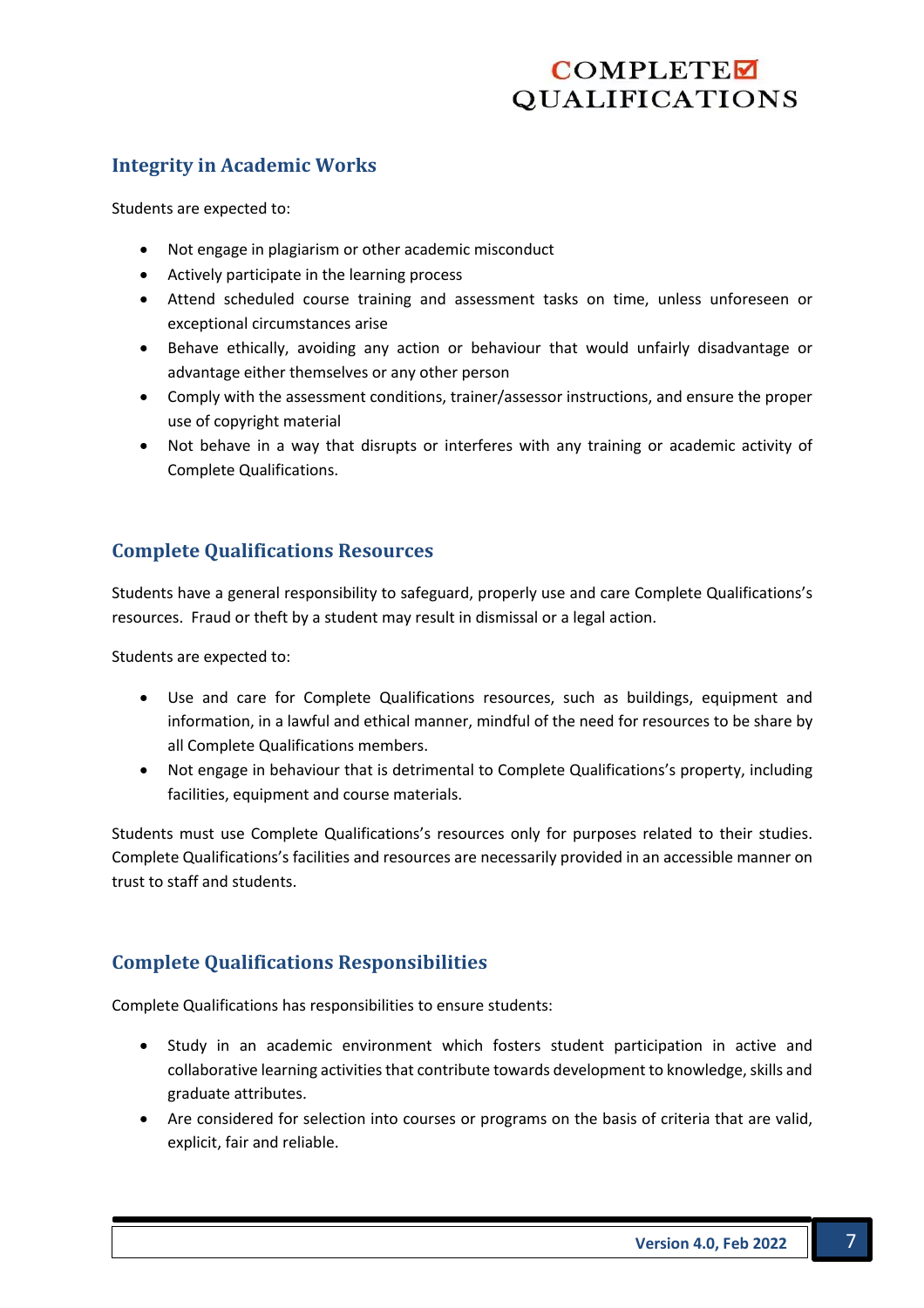#### **Integrity in Academic Works**

Students are expected to:

- Not engage in plagiarism or other academic misconduct
- Actively participate in the learning process
- Attend scheduled course training and assessment tasks on time, unless unforeseen or exceptional circumstances arise
- Behave ethically, avoiding any action or behaviour that would unfairly disadvantage or advantage either themselves or any other person
- Comply with the assessment conditions, trainer/assessor instructions, and ensure the proper use of copyright material
- Not behave in a way that disrupts or interferes with any training or academic activity of Complete Qualifications.

## **Complete Qualifications Resources**

Students have a general responsibility to safeguard, properly use and care Complete Qualifications's resources. Fraud or theft by a student may result in dismissal or a legal action.

Students are expected to:

- Use and care for Complete Qualifications resources, such as buildings, equipment and information, in a lawful and ethical manner, mindful of the need for resources to be share by all Complete Qualifications members.
- Not engage in behaviour that is detrimental to Complete Qualifications's property, including facilities, equipment and course materials.

Students must use Complete Qualifications's resources only for purposes related to their studies. Complete Qualifications's facilities and resources are necessarily provided in an accessible manner on trust to staff and students.

## **Complete Qualifications Responsibilities**

Complete Qualifications has responsibilities to ensure students:

- Study in an academic environment which fosters student participation in active and collaborative learning activities that contribute towards development to knowledge, skills and graduate attributes.
- Are considered for selection into courses or programs on the basis of criteria that are valid, explicit, fair and reliable.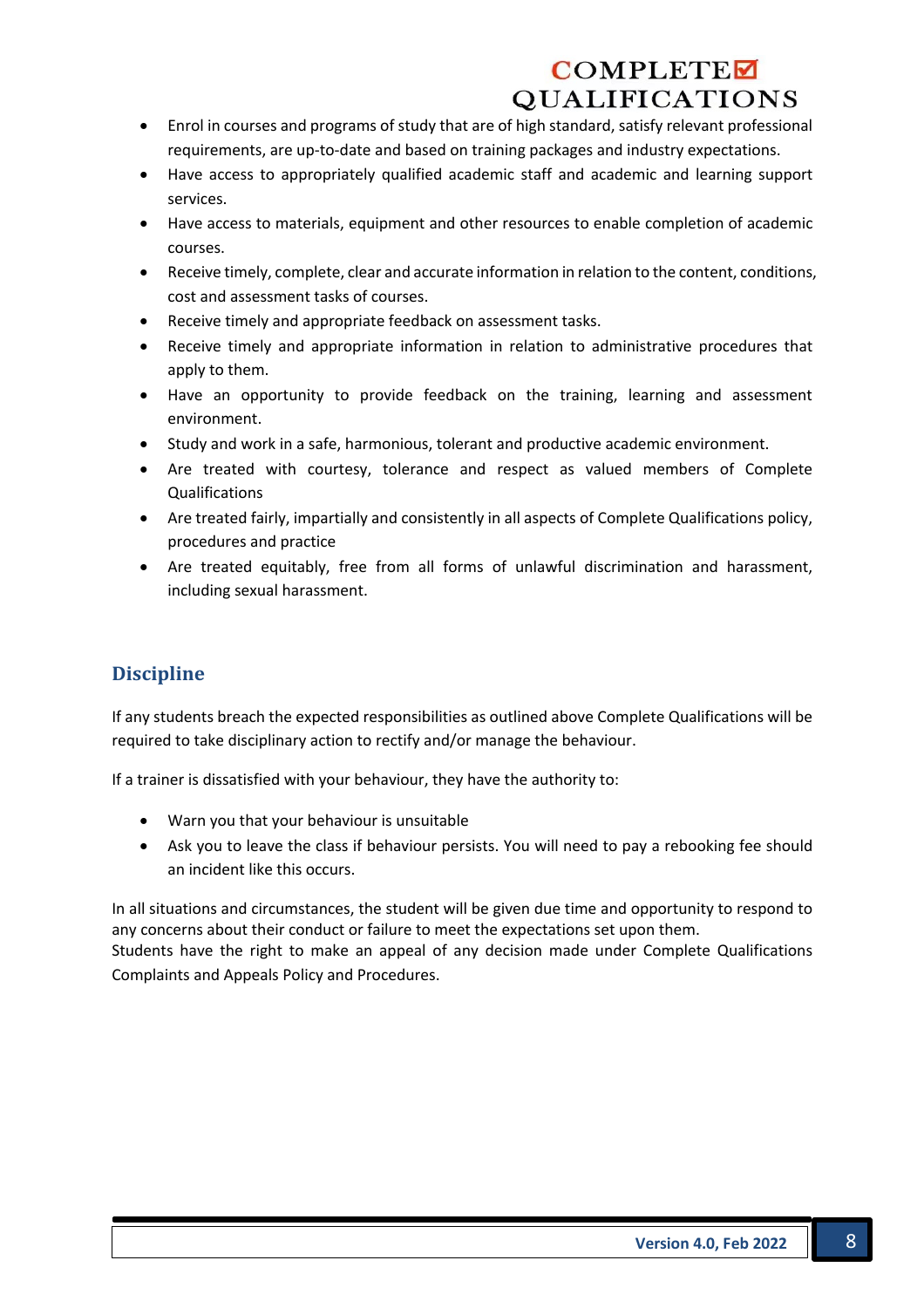- Enrol in courses and programs of study that are of high standard, satisfy relevant professional requirements, are up-to-date and based on training packages and industry expectations.
- Have access to appropriately qualified academic staff and academic and learning support services.
- Have access to materials, equipment and other resources to enable completion of academic courses.
- Receive timely, complete, clear and accurate information in relation to the content, conditions, cost and assessment tasks of courses.
- Receive timely and appropriate feedback on assessment tasks.
- Receive timely and appropriate information in relation to administrative procedures that apply to them.
- Have an opportunity to provide feedback on the training, learning and assessment environment.
- Study and work in a safe, harmonious, tolerant and productive academic environment.
- Are treated with courtesy, tolerance and respect as valued members of Complete Qualifications
- Are treated fairly, impartially and consistently in all aspects of Complete Qualifications policy, procedures and practice
- Are treated equitably, free from all forms of unlawful discrimination and harassment, including sexual harassment.

## **Discipline**

If any students breach the expected responsibilities as outlined above Complete Qualifications will be required to take disciplinary action to rectify and/or manage the behaviour.

If a trainer is dissatisfied with your behaviour, they have the authority to:

- Warn you that your behaviour is unsuitable
- Ask you to leave the class if behaviour persists. You will need to pay a rebooking fee should an incident like this occurs.

In all situations and circumstances, the student will be given due time and opportunity to respond to any concerns about their conduct or failure to meet the expectations set upon them.

Students have the right to make an appeal of any decision made under Complete Qualifications Complaints and Appeals Policy and Procedures.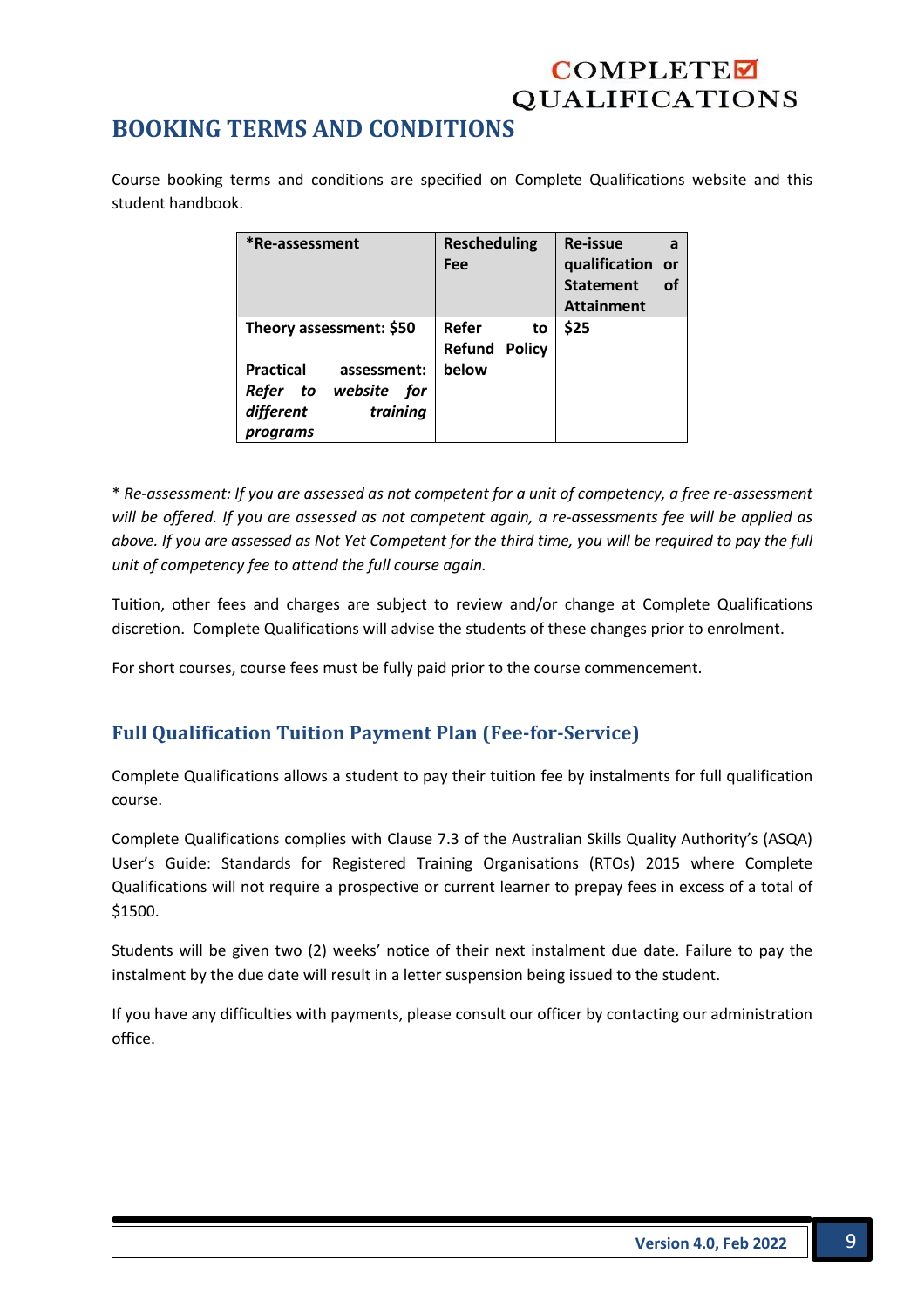## **BOOKING TERMS AND CONDITIONS**

Course booking terms and conditions are specified on Complete Qualifications website and this student handbook.

| *Re-assessment                                                                                                          | <b>Rescheduling</b><br>Fee                   | <b>Re-issue</b><br>a<br>qualification or<br><b>Statement</b><br>οf<br><b>Attainment</b> |
|-------------------------------------------------------------------------------------------------------------------------|----------------------------------------------|-----------------------------------------------------------------------------------------|
| Theory assessment: \$50<br><b>Practical</b><br>assessment:<br>Refer to website for<br>different<br>training<br>programs | Refer<br>to<br><b>Refund Policy</b><br>below | \$25                                                                                    |

\* *Re-assessment: If you are assessed as not competent for a unit of competency, a free re-assessment will be offered. If you are assessed as not competent again, a re-assessments fee will be applied as above. If you are assessed as Not Yet Competent for the third time, you will be required to pay the full unit of competency fee to attend the full course again.* 

Tuition, other fees and charges are subject to review and/or change at Complete Qualifications discretion. Complete Qualifications will advise the students of these changes prior to enrolment.

For short courses, course fees must be fully paid prior to the course commencement.

## **Full Qualification Tuition Payment Plan (Fee-for-Service)**

Complete Qualifications allows a student to pay their tuition fee by instalments for full qualification course.

Complete Qualifications complies with Clause 7.3 of the Australian Skills Quality Authority's (ASQA) User's Guide: Standards for Registered Training Organisations (RTOs) 2015 where Complete Qualifications will not require a prospective or current learner to prepay fees in excess of a total of \$1500.

Students will be given two (2) weeks' notice of their next instalment due date. Failure to pay the instalment by the due date will result in a letter suspension being issued to the student.

If you have any difficulties with payments, please consult our officer by contacting our administration office.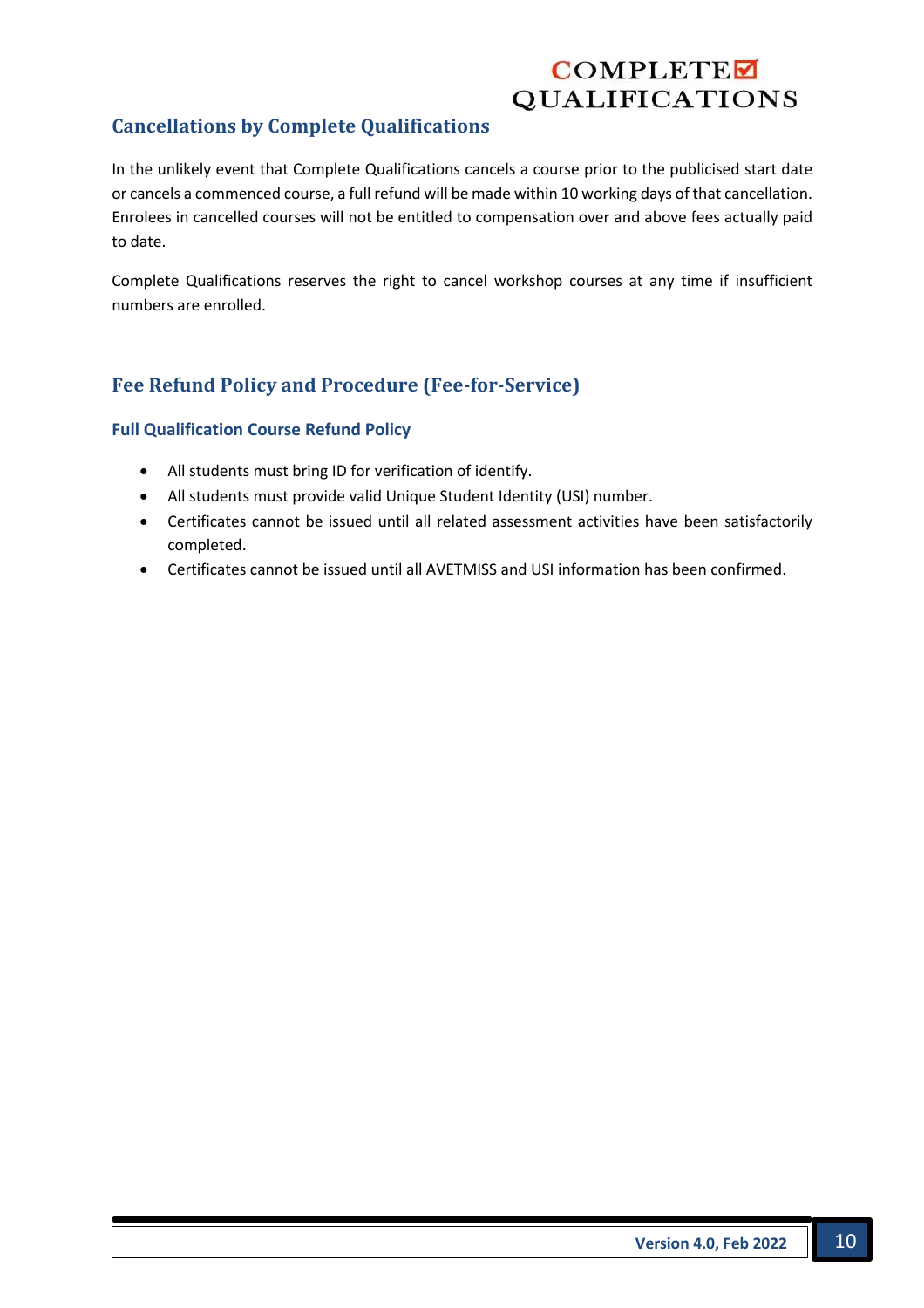## **Cancellations by Complete Qualifications**

In the unlikely event that Complete Qualifications cancels a course prior to the publicised start date or cancels a commenced course, a full refund will be made within 10 working days of that cancellation. Enrolees in cancelled courses will not be entitled to compensation over and above fees actually paid to date.

Complete Qualifications reserves the right to cancel workshop courses at any time if insufficient numbers are enrolled.

## **Fee Refund Policy and Procedure (Fee-for-Service)**

#### **Full Qualification Course Refund Policy**

- All students must bring ID for verification of identify.
- All students must provide valid Unique Student Identity (USI) number.
- Certificates cannot be issued until all related assessment activities have been satisfactorily completed.
- Certificates cannot be issued until all AVETMISS and USI information has been confirmed.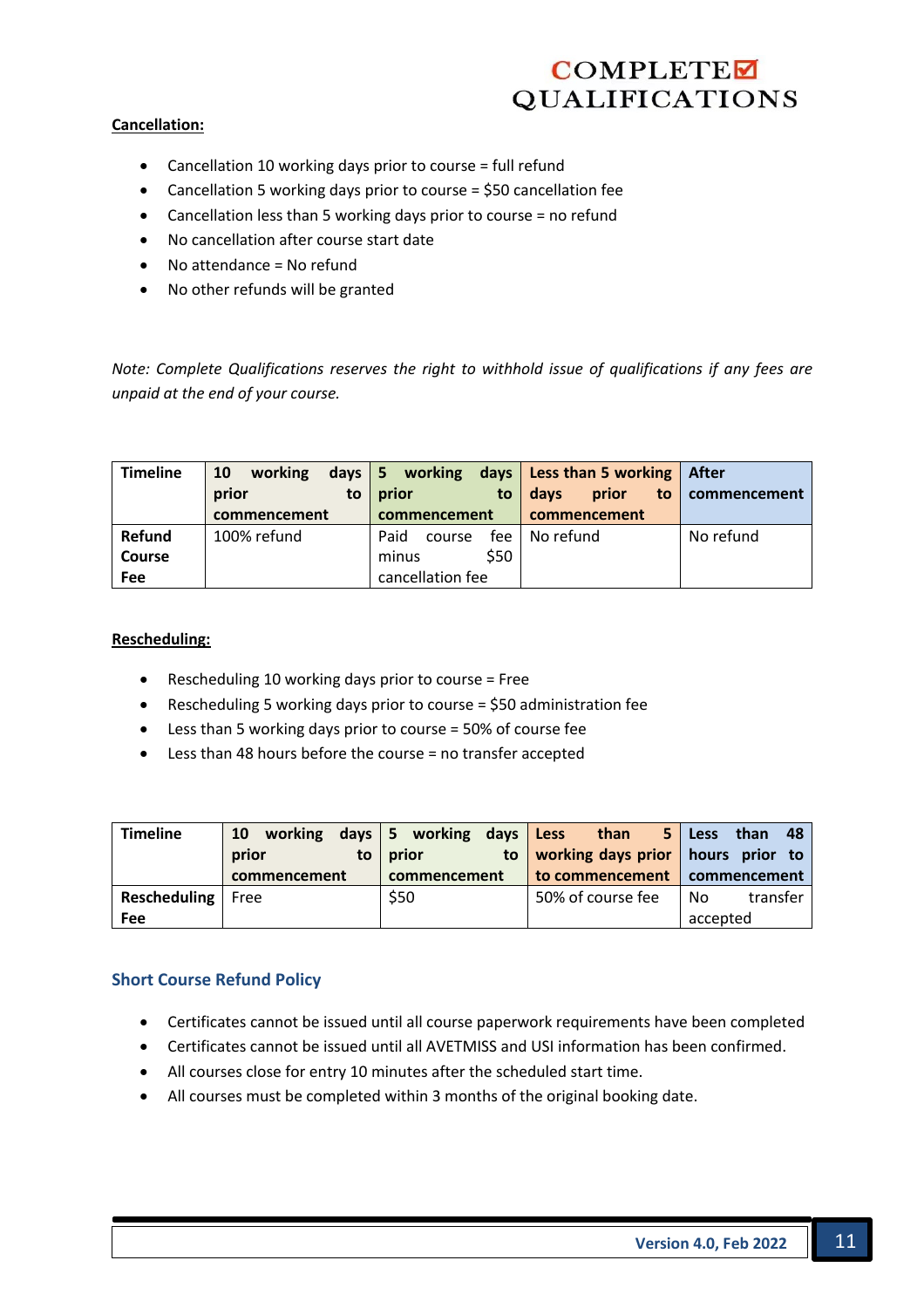#### **Cancellation:**

- Cancellation 10 working days prior to course = full refund
- Cancellation 5 working days prior to course = \$50 cancellation fee
- Cancellation less than 5 working days prior to course = no refund
- No cancellation after course start date
- No attendance = No refund
- No other refunds will be granted

*Note: Complete Qualifications reserves the right to withhold issue of qualifications if any fees are unpaid at the end of your course.*

| <b>Timeline</b> | working<br>10<br>prior<br>to<br>commencement | prior<br>to<br>commencement | days $ 5$ working days Less than 5 working<br>prior<br>davs<br>$\mathsf{to}$<br>commencement | After<br>commencement |
|-----------------|----------------------------------------------|-----------------------------|----------------------------------------------------------------------------------------------|-----------------------|
| Refund          | 100% refund                                  | Paid<br>fee<br>course       | No refund                                                                                    | No refund             |
| <b>Course</b>   |                                              | \$50<br>minus               |                                                                                              |                       |
| Fee             |                                              | cancellation fee            |                                                                                              |                       |

#### **Rescheduling:**

- Rescheduling 10 working days prior to course = Free
- Rescheduling 5 working days prior to course = \$50 administration fee
- Less than 5 working days prior to course = 50% of course fee
- Less than 48 hours before the course = no transfer accepted

| <b>Timeline</b> | working<br>10<br>prior<br>to | days   5 working days Less<br>prior<br>to | than<br>working days prior   hours prior to | - 48<br>5 Less<br>than |
|-----------------|------------------------------|-------------------------------------------|---------------------------------------------|------------------------|
|                 | commencement                 | commencement                              | to commencement   commencement              |                        |
| Rescheduling    | Free                         | \$50                                      | 50% of course fee                           | transfer<br>No.        |
| Fee             |                              |                                           |                                             | accepted               |

#### **Short Course Refund Policy**

- Certificates cannot be issued until all course paperwork requirements have been completed
- Certificates cannot be issued until all AVETMISS and USI information has been confirmed.
- All courses close for entry 10 minutes after the scheduled start time.
- All courses must be completed within 3 months of the original booking date.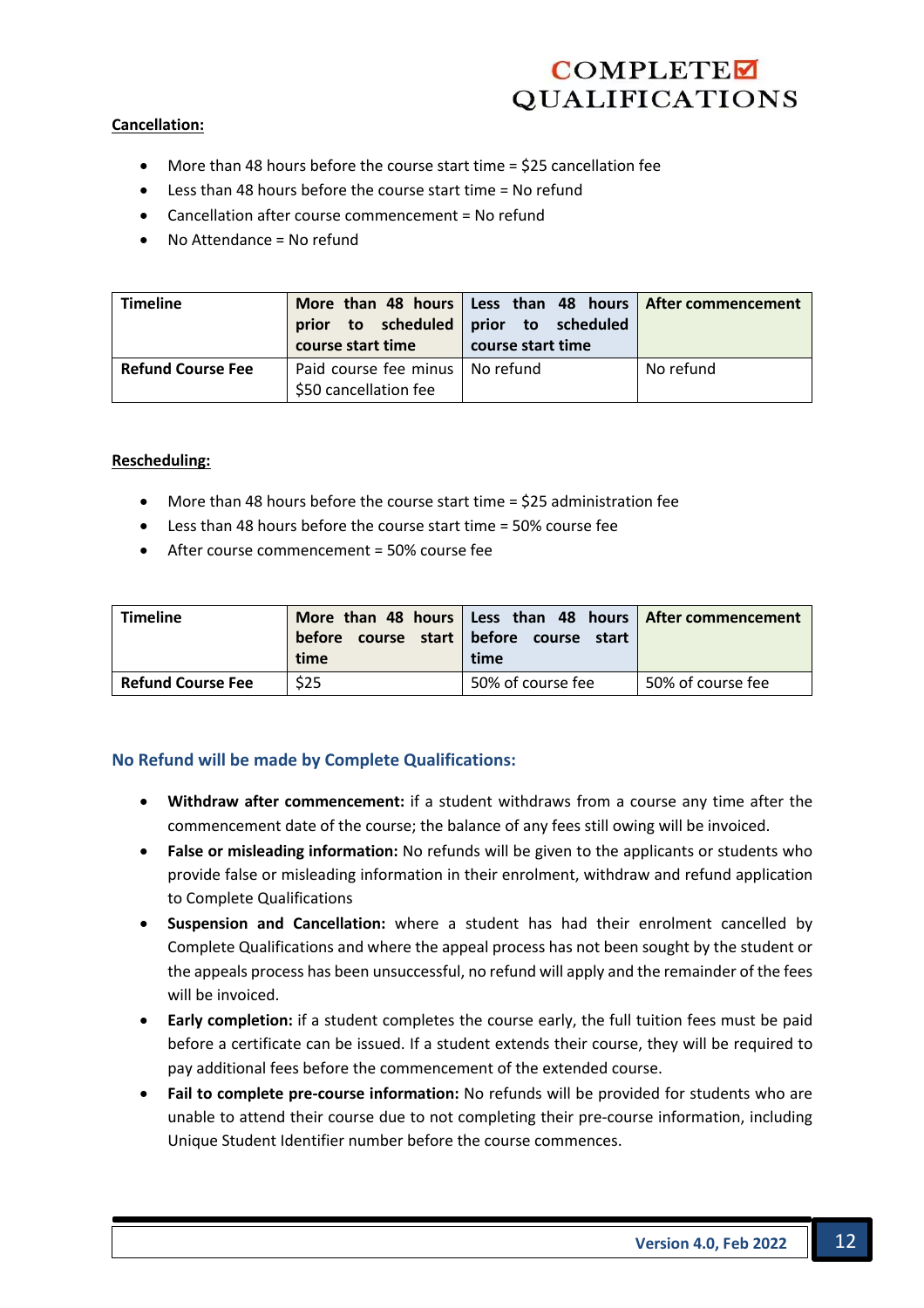#### **Cancellation:**

- More than 48 hours before the course start time = \$25 cancellation fee
- Less than 48 hours before the course start time = No refund
- Cancellation after course commencement = No refund
- No Attendance = No refund

| <b>Timeline</b>          | course start time                                          | More than 48 hours Less than 48 hours After commencement<br>prior to scheduled prior to scheduled<br>course start time |           |
|--------------------------|------------------------------------------------------------|------------------------------------------------------------------------------------------------------------------------|-----------|
| <b>Refund Course Fee</b> | Paid course fee minus   No refund<br>\$50 cancellation fee |                                                                                                                        | No refund |

#### **Rescheduling:**

- More than 48 hours before the course start time = \$25 administration fee
- Less than 48 hours before the course start time = 50% course fee
- After course commencement = 50% course fee

| <b>Timeline</b>          | before<br>time | More than 48 hours   Less than 48 hours   After commencement<br>course start before course start<br>time |                   |
|--------------------------|----------------|----------------------------------------------------------------------------------------------------------|-------------------|
| <b>Refund Course Fee</b> | \$25           | 50% of course fee                                                                                        | 50% of course fee |

#### **No Refund will be made by Complete Qualifications:**

- **Withdraw after commencement:** if a student withdraws from a course any time after the commencement date of the course; the balance of any fees still owing will be invoiced.
- **False or misleading information:** No refunds will be given to the applicants or students who provide false or misleading information in their enrolment, withdraw and refund application to Complete Qualifications
- **Suspension and Cancellation:** where a student has had their enrolment cancelled by Complete Qualifications and where the appeal process has not been sought by the student or the appeals process has been unsuccessful, no refund will apply and the remainder of the fees will be invoiced.
- **Early completion:** if a student completes the course early, the full tuition fees must be paid before a certificate can be issued. If a student extends their course, they will be required to pay additional fees before the commencement of the extended course.
- **Fail to complete pre-course information:** No refunds will be provided for students who are unable to attend their course due to not completing their pre-course information, including Unique Student Identifier number before the course commences.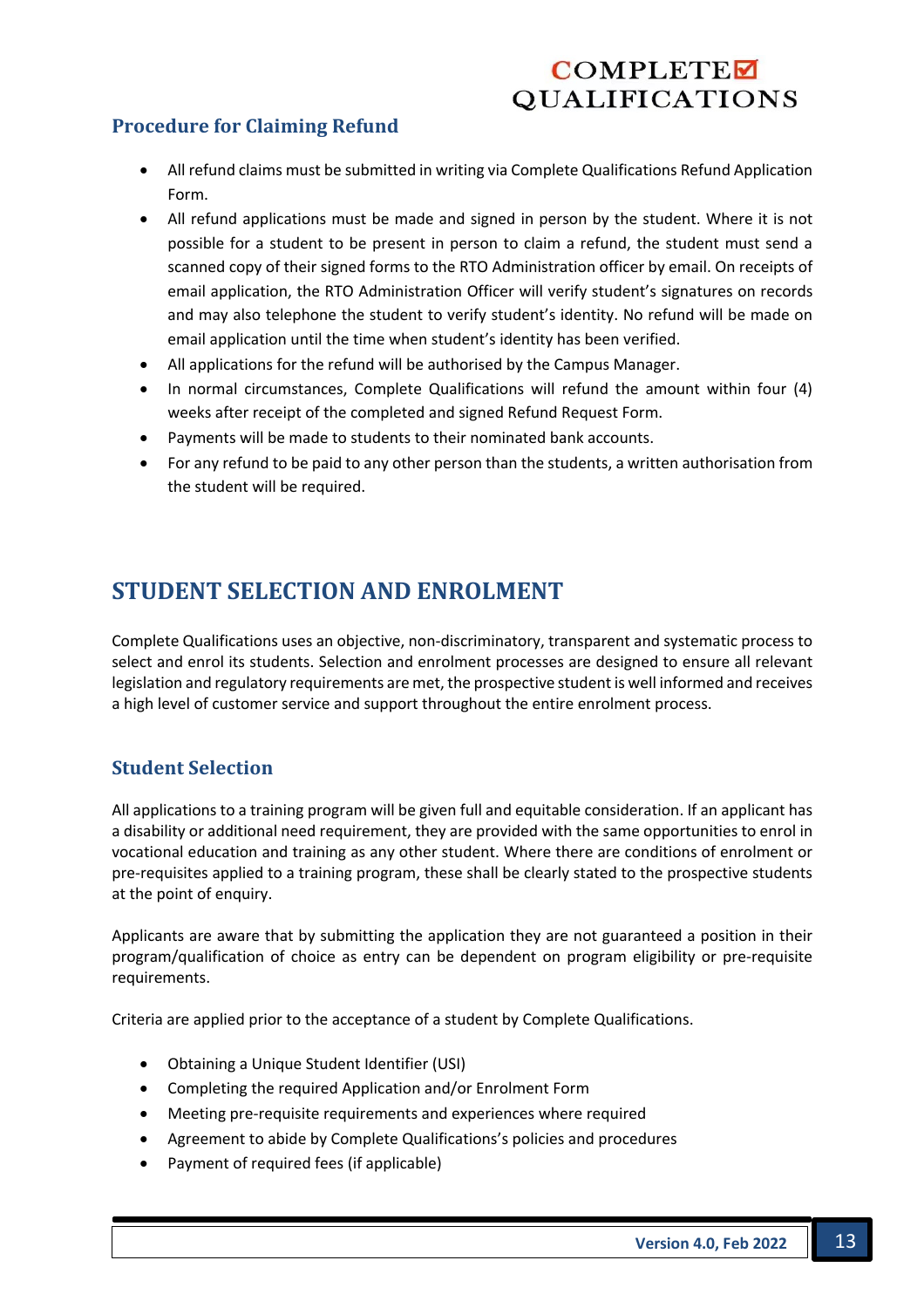## **Procedure for Claiming Refund**

- All refund claims must be submitted in writing via Complete Qualifications Refund Application Form.
- All refund applications must be made and signed in person by the student. Where it is not possible for a student to be present in person to claim a refund, the student must send a scanned copy of their signed forms to the RTO Administration officer by email. On receipts of email application, the RTO Administration Officer will verify student's signatures on records and may also telephone the student to verify student's identity. No refund will be made on email application until the time when student's identity has been verified.
- All applications for the refund will be authorised by the Campus Manager.
- In normal circumstances, Complete Qualifications will refund the amount within four (4) weeks after receipt of the completed and signed Refund Request Form.
- Payments will be made to students to their nominated bank accounts.
- For any refund to be paid to any other person than the students, a written authorisation from the student will be required.

## **STUDENT SELECTION AND ENROLMENT**

Complete Qualifications uses an objective, non-discriminatory, transparent and systematic process to select and enrol its students. Selection and enrolment processes are designed to ensure all relevant legislation and regulatory requirements are met, the prospective student is well informed and receives a high level of customer service and support throughout the entire enrolment process.

#### **Student Selection**

All applications to a training program will be given full and equitable consideration. If an applicant has a disability or additional need requirement, they are provided with the same opportunities to enrol in vocational education and training as any other student. Where there are conditions of enrolment or pre-requisites applied to a training program, these shall be clearly stated to the prospective students at the point of enquiry.

Applicants are aware that by submitting the application they are not guaranteed a position in their program/qualification of choice as entry can be dependent on program eligibility or pre-requisite requirements.

Criteria are applied prior to the acceptance of a student by Complete Qualifications.

- Obtaining a Unique Student Identifier (USI)
- Completing the required Application and/or Enrolment Form
- Meeting pre-requisite requirements and experiences where required
- Agreement to abide by Complete Qualifications's policies and procedures
- Payment of required fees (if applicable)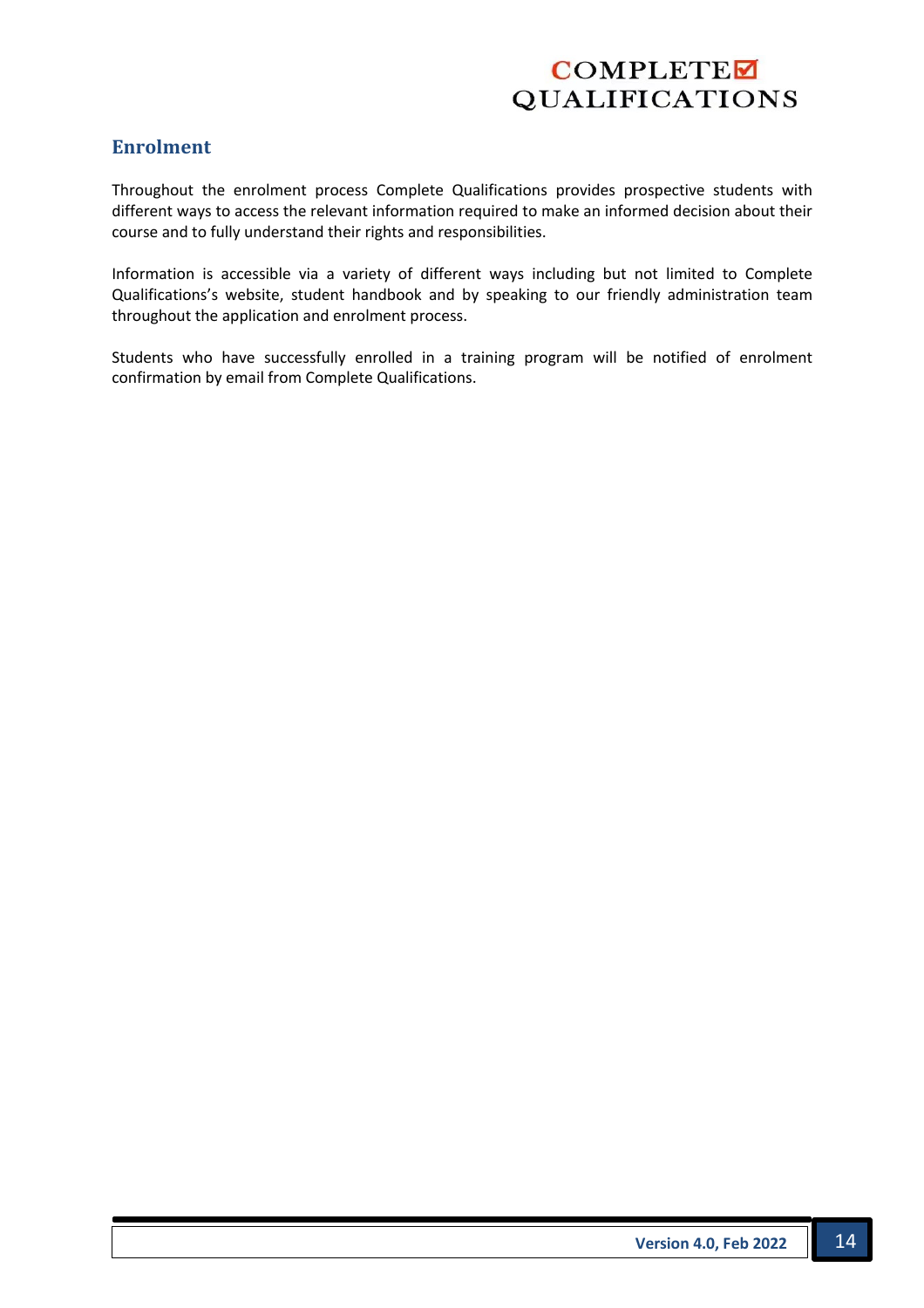#### **Enrolment**

Throughout the enrolment process Complete Qualifications provides prospective students with different ways to access the relevant information required to make an informed decision about their course and to fully understand their rights and responsibilities.

Information is accessible via a variety of different ways including but not limited to Complete Qualifications's website, student handbook and by speaking to our friendly administration team throughout the application and enrolment process.

Students who have successfully enrolled in a training program will be notified of enrolment confirmation by email from Complete Qualifications.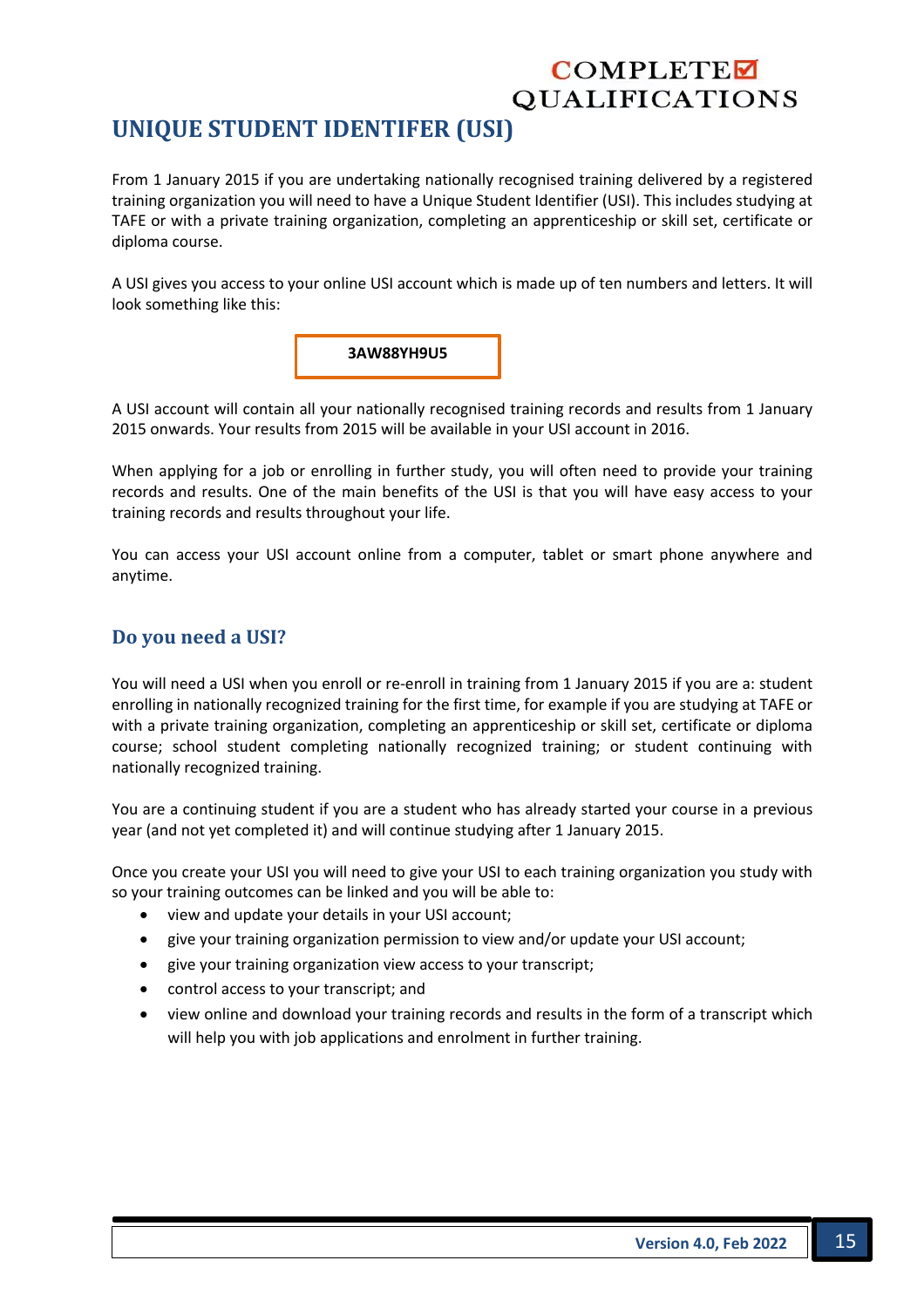## **UNIQUE STUDENT IDENTIFER (USI)**

From 1 January 2015 if you are undertaking nationally recognised training delivered by a registered training organization you will need to have a Unique Student Identifier (USI). This includes studying at TAFE or with a private training organization, completing an apprenticeship or skill set, certificate or diploma course.

A USI gives you access to your online USI account which is made up of ten numbers and letters. It will look something like this:



A USI account will contain all your nationally recognised training records and results from 1 January 2015 onwards. Your results from 2015 will be available in your USI account in 2016.

When applying for a job or enrolling in further study, you will often need to provide your training records and results. One of the main benefits of the USI is that you will have easy access to your training records and results throughout your life.

You can access your USI account online from a computer, tablet or smart phone anywhere and anytime.

#### **Do you need a USI?**

You will need a USI when you enroll or re-enroll in training from 1 January 2015 if you are a: student enrolling in nationally recognized training for the first time, for example if you are studying at TAFE or with a private training organization, completing an apprenticeship or skill set, certificate or diploma course; school student completing nationally recognized training; or student continuing with nationally recognized training.

You are a continuing student if you are a student who has already started your course in a previous year (and not yet completed it) and will continue studying after 1 January 2015.

Once you create your USI you will need to give your USI to each training organization you study with so your training outcomes can be linked and you will be able to:

- view and update your details in your USI account;
- give your training organization permission to view and/or update your USI account;
- give your training organization view access to your transcript;
- control access to your transcript; and
- view online and download your training records and results in the form of a transcript which will help you with job applications and enrolment in further training.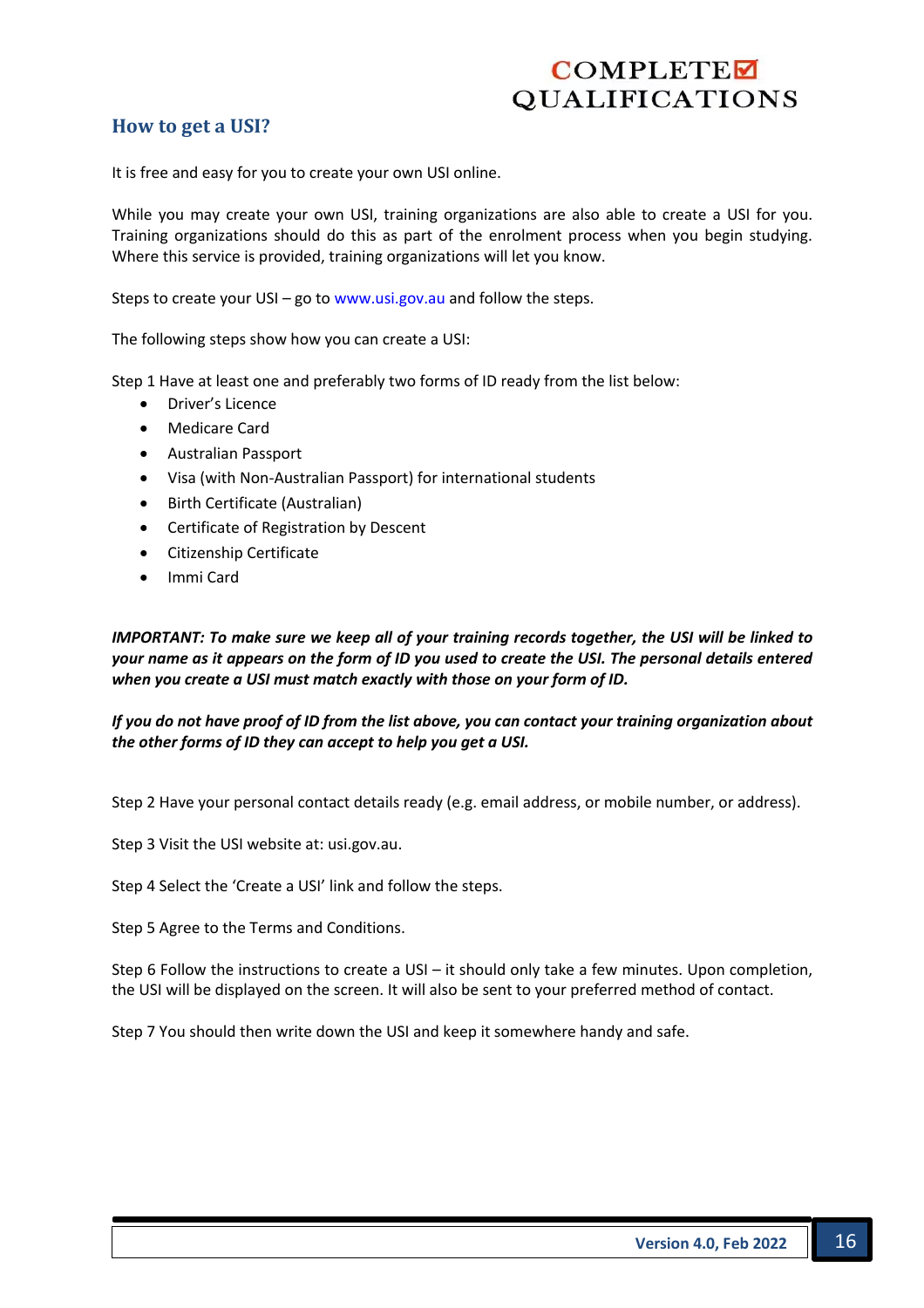### **How to get a USI?**

It is free and easy for you to create your own USI online.

While you may create your own USI, training organizations are also able to create a USI for you. Training organizations should do this as part of the enrolment process when you begin studying. Where this service is provided, training organizations will let you know.

Steps to create your USI – go to www.usi.gov.au and follow the steps.

The following steps show how you can create a USI:

Step 1 Have at least one and preferably two forms of ID ready from the list below:

- Driver's Licence
- Medicare Card
- Australian Passport
- Visa (with Non-Australian Passport) for international students
- Birth Certificate (Australian)
- Certificate of Registration by Descent
- Citizenship Certificate
- Immi Card

*IMPORTANT: To make sure we keep all of your training records together, the USI will be linked to your name as it appears on the form of ID you used to create the USI. The personal details entered when you create a USI must match exactly with those on your form of ID.* 

*If you do not have proof of ID from the list above, you can contact your training organization about the other forms of ID they can accept to help you get a USI.* 

Step 2 Have your personal contact details ready (e.g. email address, or mobile number, or address).

Step 3 Visit the USI website at: usi.gov.au.

Step 4 Select the 'Create a USI' link and follow the steps.

Step 5 Agree to the Terms and Conditions.

Step 6 Follow the instructions to create a USI – it should only take a few minutes. Upon completion, the USI will be displayed on the screen. It will also be sent to your preferred method of contact.

Step 7 You should then write down the USI and keep it somewhere handy and safe.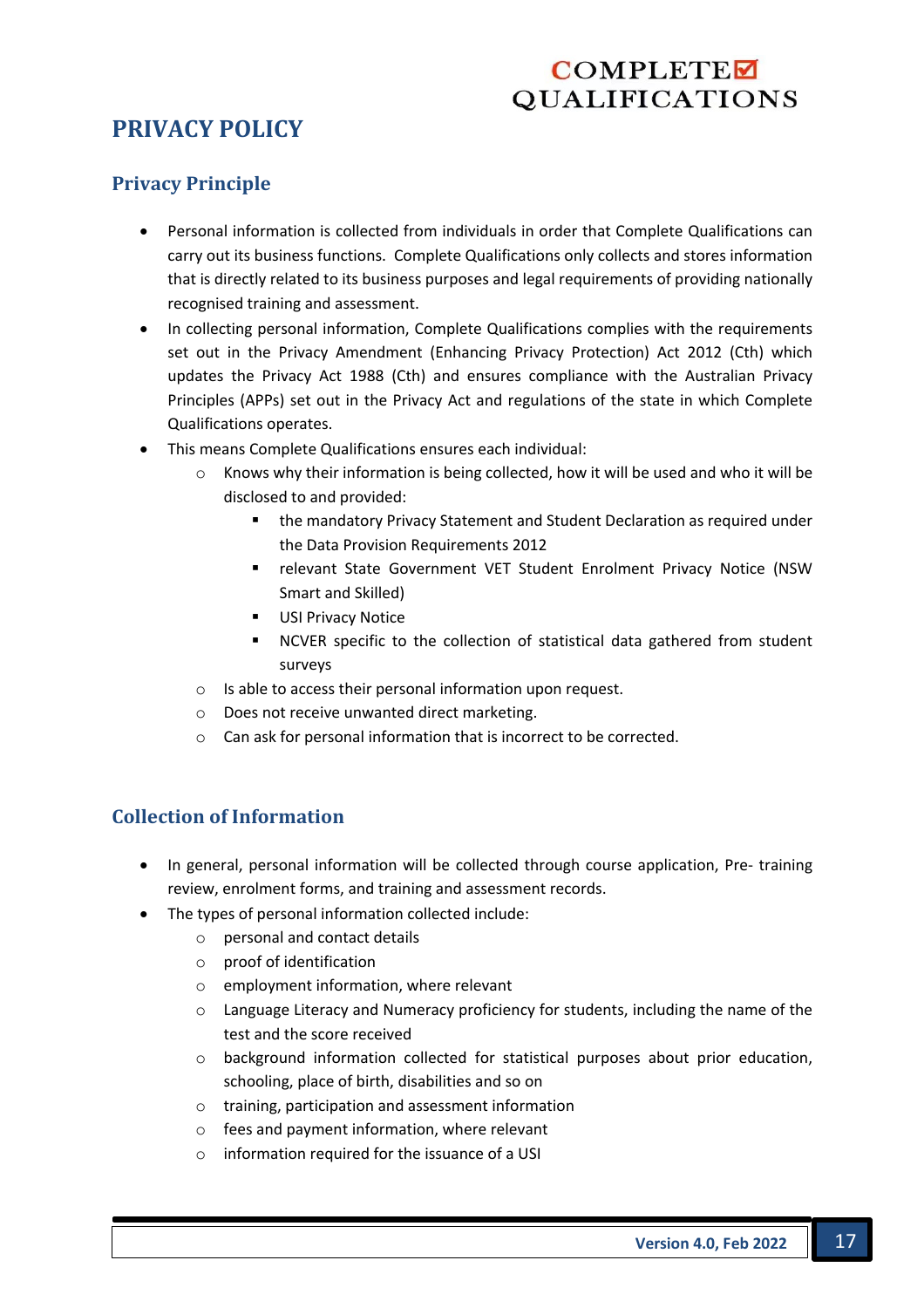## **PRIVACY POLICY**

#### **Privacy Principle**

- Personal information is collected from individuals in order that Complete Qualifications can carry out its business functions. Complete Qualifications only collects and stores information that is directly related to its business purposes and legal requirements of providing nationally recognised training and assessment.
- In collecting personal information, Complete Qualifications complies with the requirements set out in the Privacy Amendment (Enhancing Privacy Protection) Act 2012 (Cth) which updates the Privacy Act 1988 (Cth) and ensures compliance with the Australian Privacy Principles (APPs) set out in the Privacy Act and regulations of the state in which Complete Qualifications operates.
- This means Complete Qualifications ensures each individual:
	- $\circ$  Knows why their information is being collected, how it will be used and who it will be disclosed to and provided:
		- the mandatory Privacy Statement and Student Declaration as required under the Data Provision Requirements 2012
		- relevant State Government VET Student Enrolment Privacy Notice (NSW Smart and Skilled)
		- USI Privacy Notice
		- § NCVER specific to the collection of statistical data gathered from student surveys
	- o Is able to access their personal information upon request.
	- o Does not receive unwanted direct marketing.
	- $\circ$  Can ask for personal information that is incorrect to be corrected.

## **Collection of Information**

- In general, personal information will be collected through course application, Pre- training review, enrolment forms, and training and assessment records.
- The types of personal information collected include:
	- o personal and contact details
	- o proof of identification
	- o employment information, where relevant
	- $\circ$  Language Literacy and Numeracy proficiency for students, including the name of the test and the score received
	- o background information collected for statistical purposes about prior education, schooling, place of birth, disabilities and so on
	- o training, participation and assessment information
	- o fees and payment information, where relevant
	- o information required for the issuance of a USI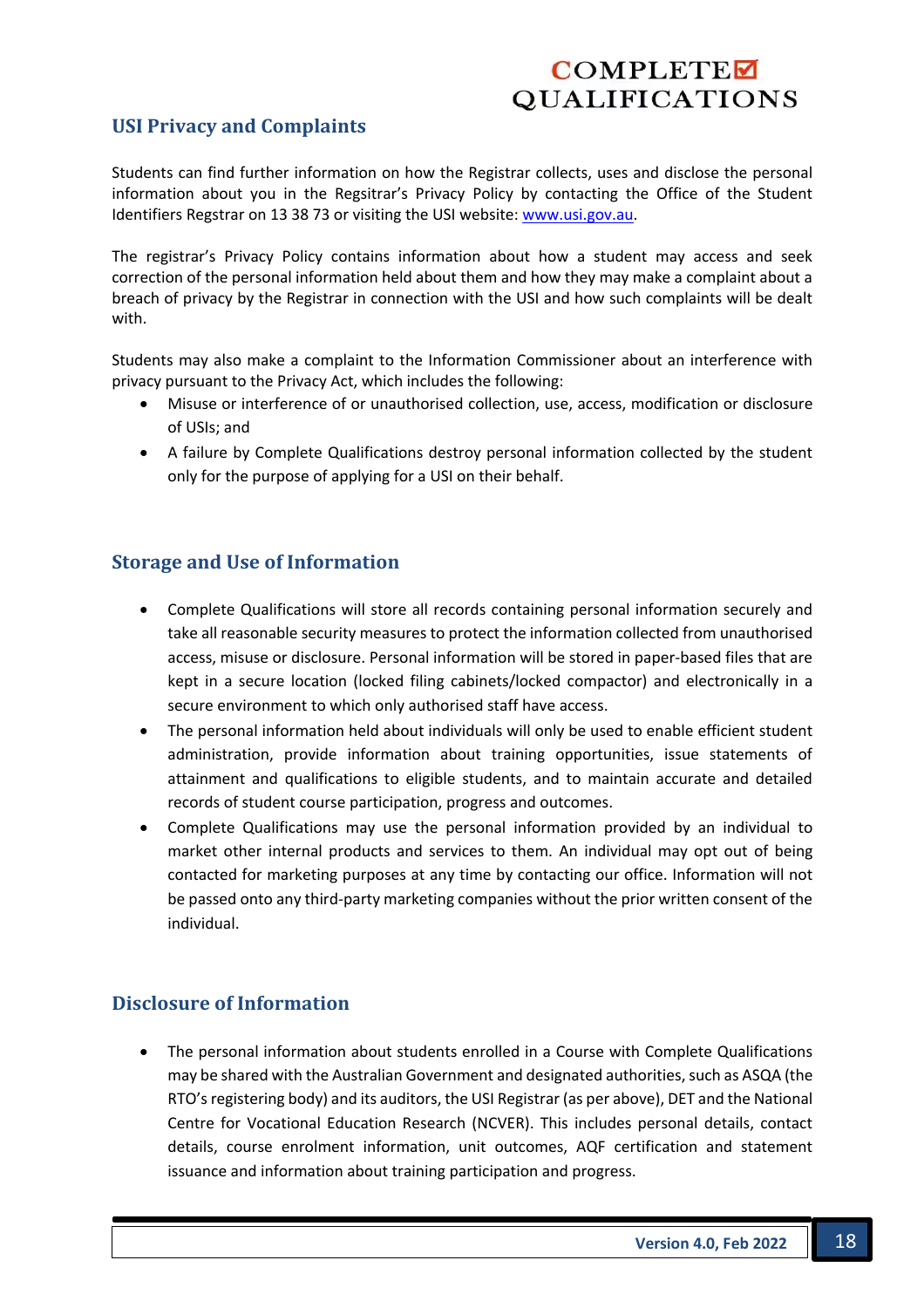### **USI Privacy and Complaints**

Students can find further information on how the Registrar collects, uses and disclose the personal information about you in the Regsitrar's Privacy Policy by contacting the Office of the Student Identifiers Regstrar on 13 38 73 or visiting the USI website: www.usi.gov.au.

The registrar's Privacy Policy contains information about how a student may access and seek correction of the personal information held about them and how they may make a complaint about a breach of privacy by the Registrar in connection with the USI and how such complaints will be dealt with.

Students may also make a complaint to the Information Commissioner about an interference with privacy pursuant to the Privacy Act, which includes the following:

- Misuse or interference of or unauthorised collection, use, access, modification or disclosure of USIs; and
- A failure by Complete Qualifications destroy personal information collected by the student only for the purpose of applying for a USI on their behalf.

#### **Storage and Use of Information**

- Complete Qualifications will store all records containing personal information securely and take all reasonable security measures to protect the information collected from unauthorised access, misuse or disclosure. Personal information will be stored in paper-based files that are kept in a secure location (locked filing cabinets/locked compactor) and electronically in a secure environment to which only authorised staff have access.
- The personal information held about individuals will only be used to enable efficient student administration, provide information about training opportunities, issue statements of attainment and qualifications to eligible students, and to maintain accurate and detailed records of student course participation, progress and outcomes.
- Complete Qualifications may use the personal information provided by an individual to market other internal products and services to them. An individual may opt out of being contacted for marketing purposes at any time by contacting our office. Information will not be passed onto any third-party marketing companies without the prior written consent of the individual.

#### **Disclosure of Information**

• The personal information about students enrolled in a Course with Complete Qualifications may be shared with the Australian Government and designated authorities, such as ASQA (the RTO's registering body) and its auditors, the USI Registrar (as per above), DET and the National Centre for Vocational Education Research (NCVER). This includes personal details, contact details, course enrolment information, unit outcomes, AQF certification and statement issuance and information about training participation and progress.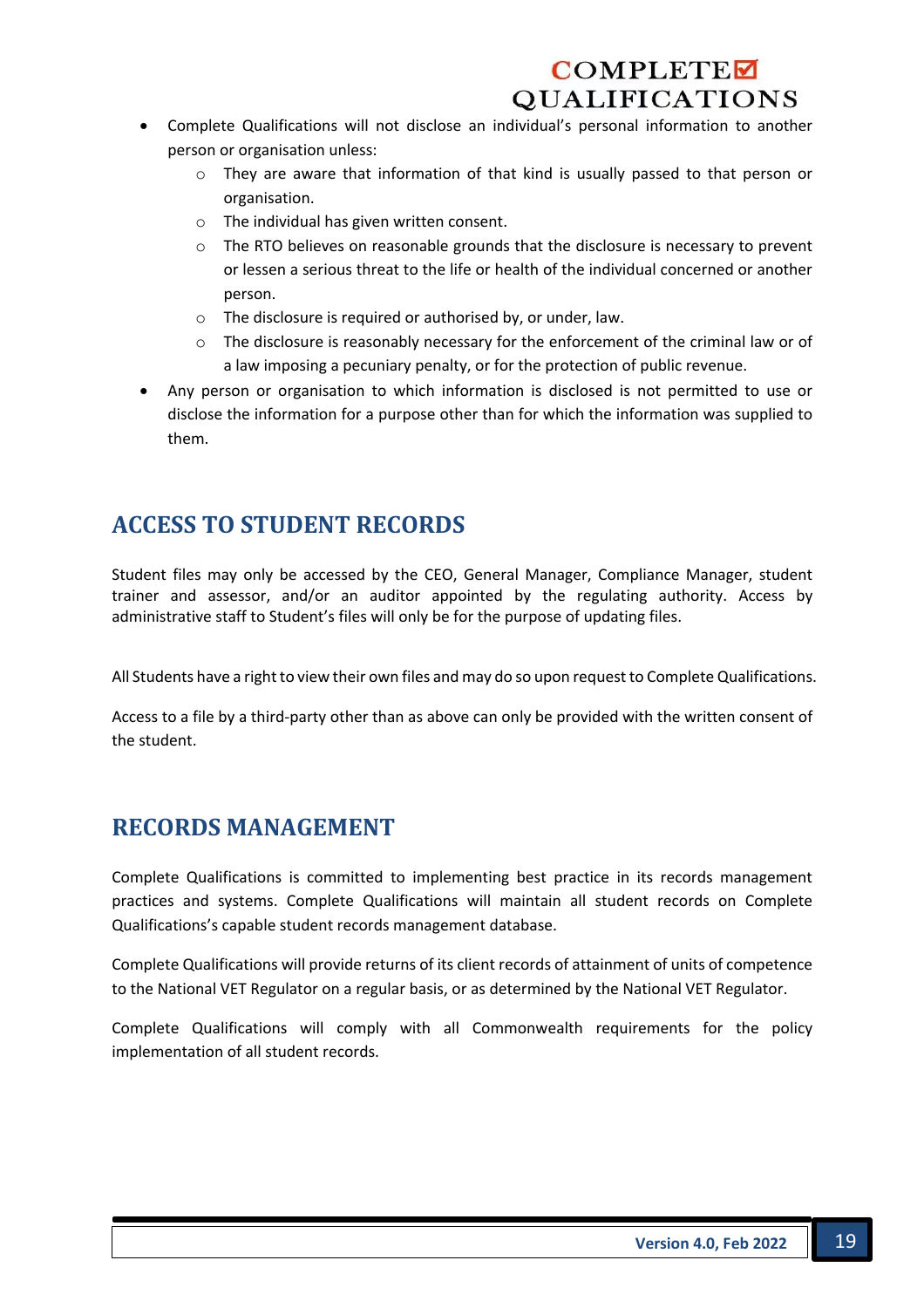- Complete Qualifications will not disclose an individual's personal information to another person or organisation unless:
	- $\circ$  They are aware that information of that kind is usually passed to that person or organisation.
	- o The individual has given written consent.
	- o The RTO believes on reasonable grounds that the disclosure is necessary to prevent or lessen a serious threat to the life or health of the individual concerned or another person.
	- o The disclosure is required or authorised by, or under, law.
	- o The disclosure is reasonably necessary for the enforcement of the criminal law or of a law imposing a pecuniary penalty, or for the protection of public revenue.
- Any person or organisation to which information is disclosed is not permitted to use or disclose the information for a purpose other than for which the information was supplied to them.

## **ACCESS TO STUDENT RECORDS**

Student files may only be accessed by the CEO, General Manager, Compliance Manager, student trainer and assessor, and/or an auditor appointed by the regulating authority. Access by administrative staff to Student's files will only be for the purpose of updating files.

All Students have a right to view their own files and may do so upon request to Complete Qualifications.

Access to a file by a third-party other than as above can only be provided with the written consent of the student.

## **RECORDS MANAGEMENT**

Complete Qualifications is committed to implementing best practice in its records management practices and systems. Complete Qualifications will maintain all student records on Complete Qualifications's capable student records management database.

Complete Qualifications will provide returns of its client records of attainment of units of competence to the National VET Regulator on a regular basis, or as determined by the National VET Regulator.

Complete Qualifications will comply with all Commonwealth requirements for the policy implementation of all student records.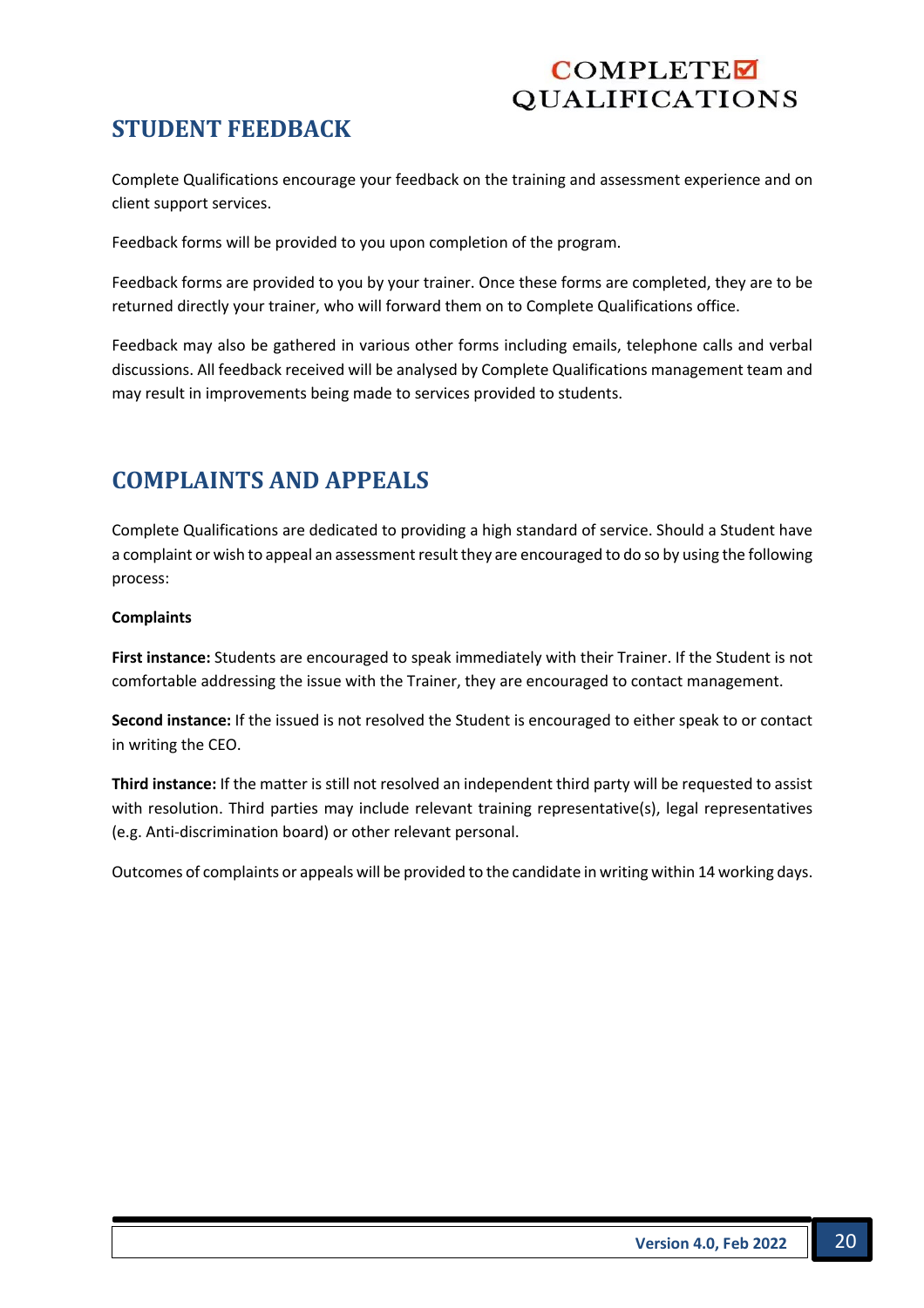## **STUDENT FEEDBACK**

Complete Qualifications encourage your feedback on the training and assessment experience and on client support services.

Feedback forms will be provided to you upon completion of the program.

Feedback forms are provided to you by your trainer. Once these forms are completed, they are to be returned directly your trainer, who will forward them on to Complete Qualifications office.

Feedback may also be gathered in various other forms including emails, telephone calls and verbal discussions. All feedback received will be analysed by Complete Qualifications management team and may result in improvements being made to services provided to students.

## **COMPLAINTS AND APPEALS**

Complete Qualifications are dedicated to providing a high standard of service. Should a Student have a complaint or wish to appeal an assessment result they are encouraged to do so by using the following process:

#### **Complaints**

**First instance:** Students are encouraged to speak immediately with their Trainer. If the Student is not comfortable addressing the issue with the Trainer, they are encouraged to contact management.

**Second instance:** If the issued is not resolved the Student is encouraged to either speak to or contact in writing the CEO.

**Third instance:** If the matter is still not resolved an independent third party will be requested to assist with resolution. Third parties may include relevant training representative(s), legal representatives (e.g. Anti-discrimination board) or other relevant personal.

Outcomes of complaints or appeals will be provided to the candidate in writing within 14 working days.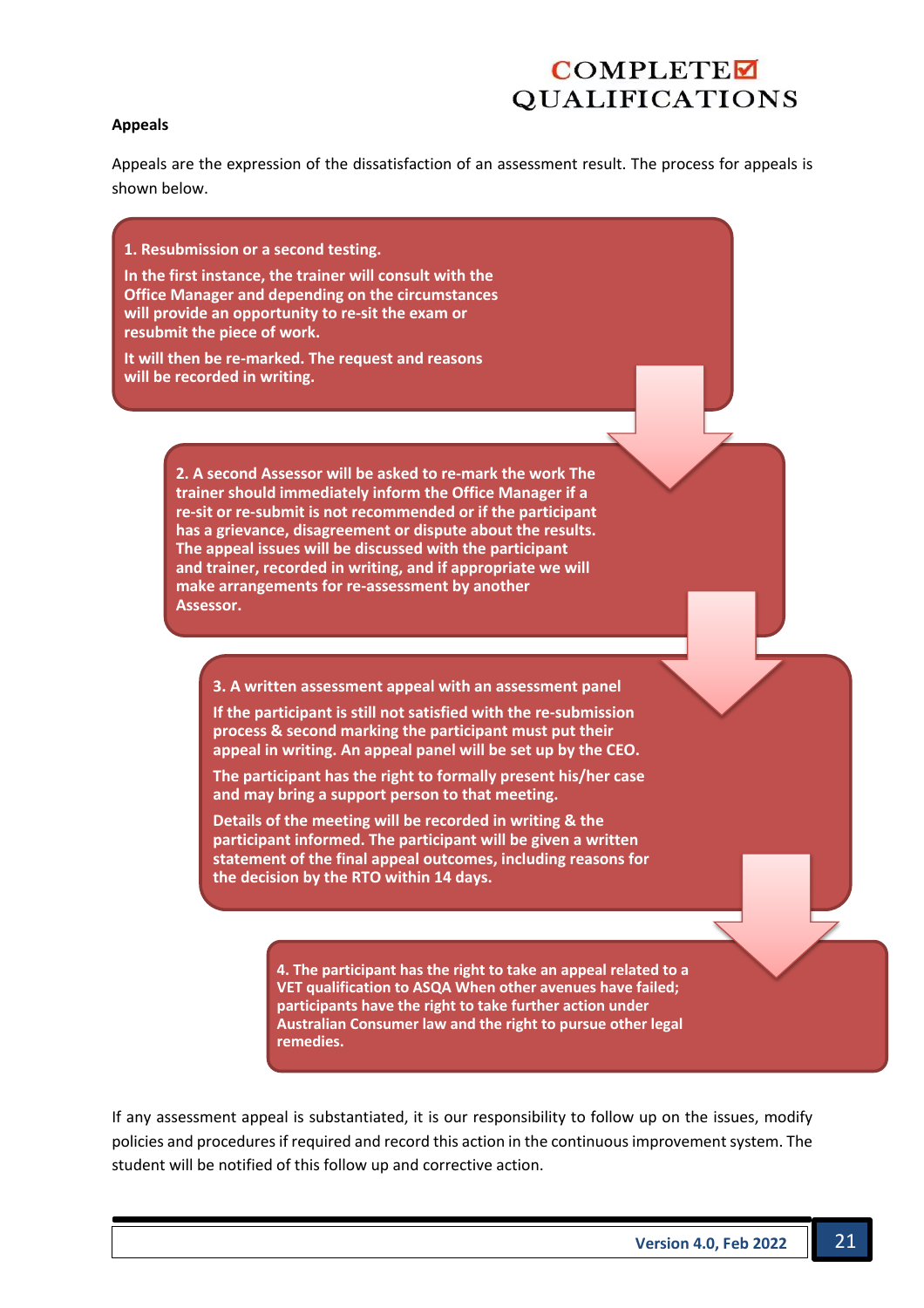#### **Appeals**

Appeals are the expression of the dissatisfaction of an assessment result. The process for appeals is shown below.

**1. Resubmission or a second testing.**

**In the first instance, the trainer will consult with the Office Manager and depending on the circumstances will provide an opportunity to re-sit the exam or resubmit the piece of work.**

**It will then be re-marked. The request and reasons will be recorded in writing.**

> **2. A second Assessor will be asked to re-mark the work The trainer should immediately inform the Office Manager if a re-sit or re-submit is not recommended or if the participant has a grievance, disagreement or dispute about the results. The appeal issues will be discussed with the participant and trainer, recorded in writing, and if appropriate we will make arrangements for re-assessment by another Assessor.**

**3. A written assessment appeal with an assessment panel**

**If the participant is still not satisfied with the re-submission process & second marking the participant must put their appeal in writing. An appeal panel will be set up by the CEO.**

**The participant has the right to formally present his/her case and may bring a support person to that meeting.**

**Details of the meeting will be recorded in writing & the participant informed. The participant will be given a written statement of the final appeal outcomes, including reasons for the decision by the RTO within 14 days.**

> **4. The participant has the right to take an appeal related to a VET qualification to ASQA When other avenues have failed; participants have the right to take further action under Australian Consumer law and the right to pursue other legal remedies.**

If any assessment appeal is substantiated, it is our responsibility to follow up on the issues, modify policies and procedures if required and record this action in the continuous improvement system. The student will be notified of this follow up and corrective action.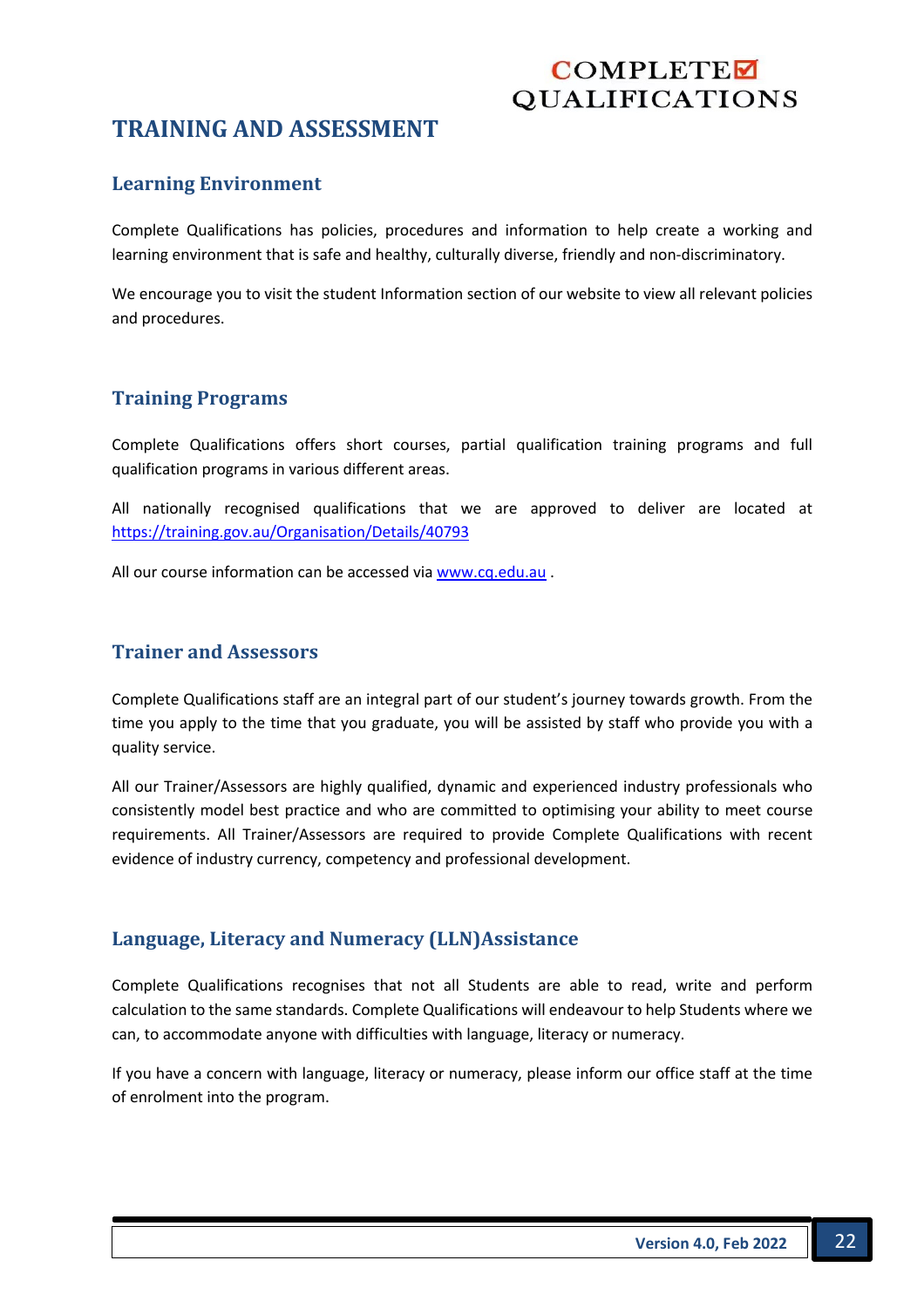## **TRAINING AND ASSESSMENT**

#### **Learning Environment**

Complete Qualifications has policies, procedures and information to help create a working and learning environment that is safe and healthy, culturally diverse, friendly and non-discriminatory.

We encourage you to visit the student Information section of our website to view all relevant policies and procedures.

#### **Training Programs**

Complete Qualifications offers short courses, partial qualification training programs and full qualification programs in various different areas.

All nationally recognised qualifications that we are approved to deliver are located at https://training.gov.au/Organisation/Details/40793

All our course information can be accessed via www.cq.edu.au .

#### **Trainer and Assessors**

Complete Qualifications staff are an integral part of our student's journey towards growth. From the time you apply to the time that you graduate, you will be assisted by staff who provide you with a quality service.

All our Trainer/Assessors are highly qualified, dynamic and experienced industry professionals who consistently model best practice and who are committed to optimising your ability to meet course requirements. All Trainer/Assessors are required to provide Complete Qualifications with recent evidence of industry currency, competency and professional development.

#### Language, Literacy and Numeracy (LLN)Assistance

Complete Qualifications recognises that not all Students are able to read, write and perform calculation to the same standards. Complete Qualifications will endeavour to help Students where we can, to accommodate anyone with difficulties with language, literacy or numeracy.

If you have a concern with language, literacy or numeracy, please inform our office staff at the time of enrolment into the program.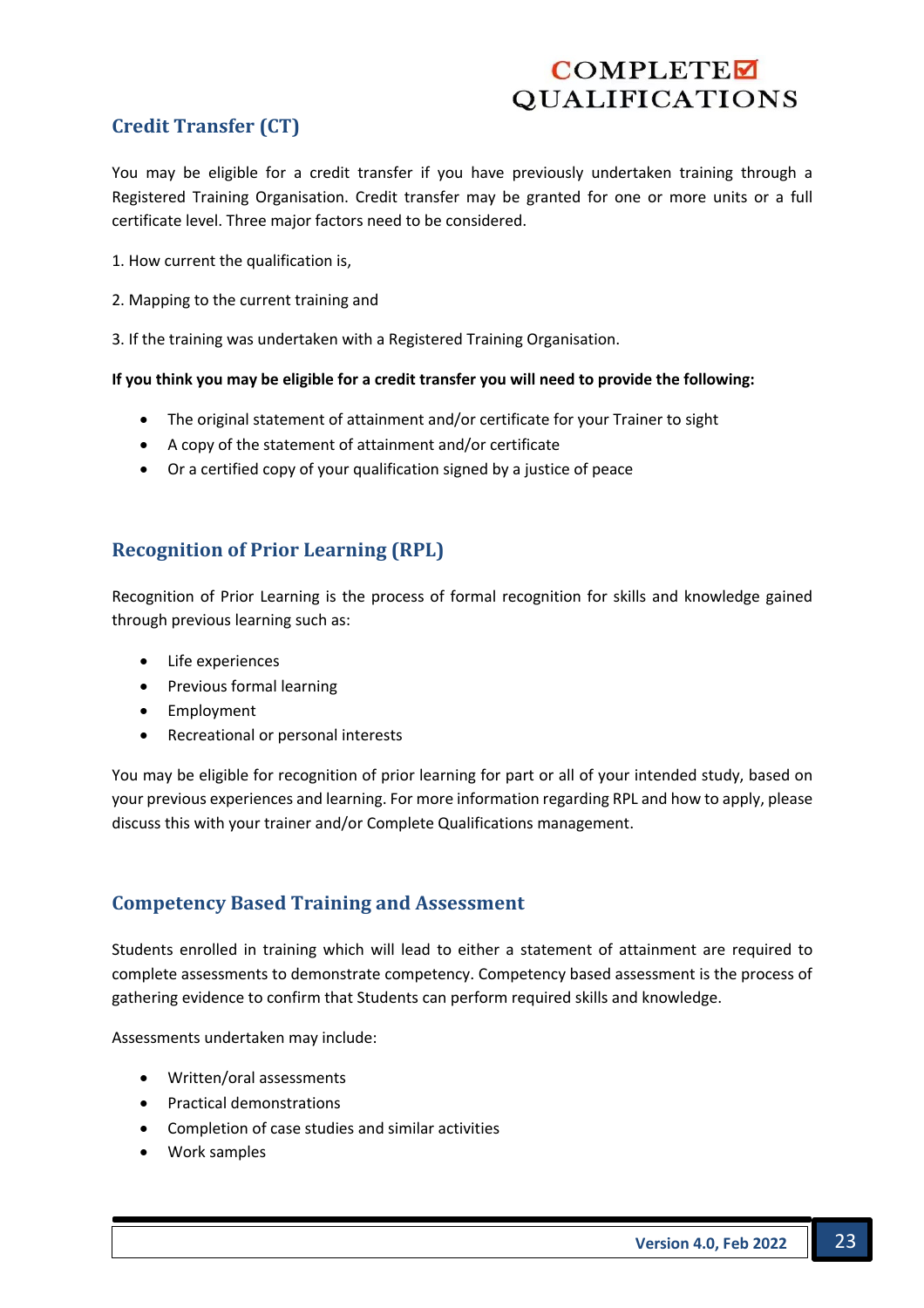## **Credit Transfer (CT)**

You may be eligible for a credit transfer if you have previously undertaken training through a Registered Training Organisation. Credit transfer may be granted for one or more units or a full certificate level. Three major factors need to be considered.

- 1. How current the qualification is,
- 2. Mapping to the current training and
- 3. If the training was undertaken with a Registered Training Organisation.

#### **If you think you may be eligible for a credit transfer you will need to provide the following:**

- The original statement of attainment and/or certificate for your Trainer to sight
- A copy of the statement of attainment and/or certificate
- Or a certified copy of your qualification signed by a justice of peace

## **Recognition of Prior Learning (RPL)**

Recognition of Prior Learning is the process of formal recognition for skills and knowledge gained through previous learning such as:

- Life experiences
- Previous formal learning
- Employment
- Recreational or personal interests

You may be eligible for recognition of prior learning for part or all of your intended study, based on your previous experiences and learning. For more information regarding RPL and how to apply, please discuss this with your trainer and/or Complete Qualifications management.

#### **Competency Based Training and Assessment**

Students enrolled in training which will lead to either a statement of attainment are required to complete assessments to demonstrate competency. Competency based assessment is the process of gathering evidence to confirm that Students can perform required skills and knowledge.

Assessments undertaken may include:

- Written/oral assessments
- Practical demonstrations
- Completion of case studies and similar activities
- Work samples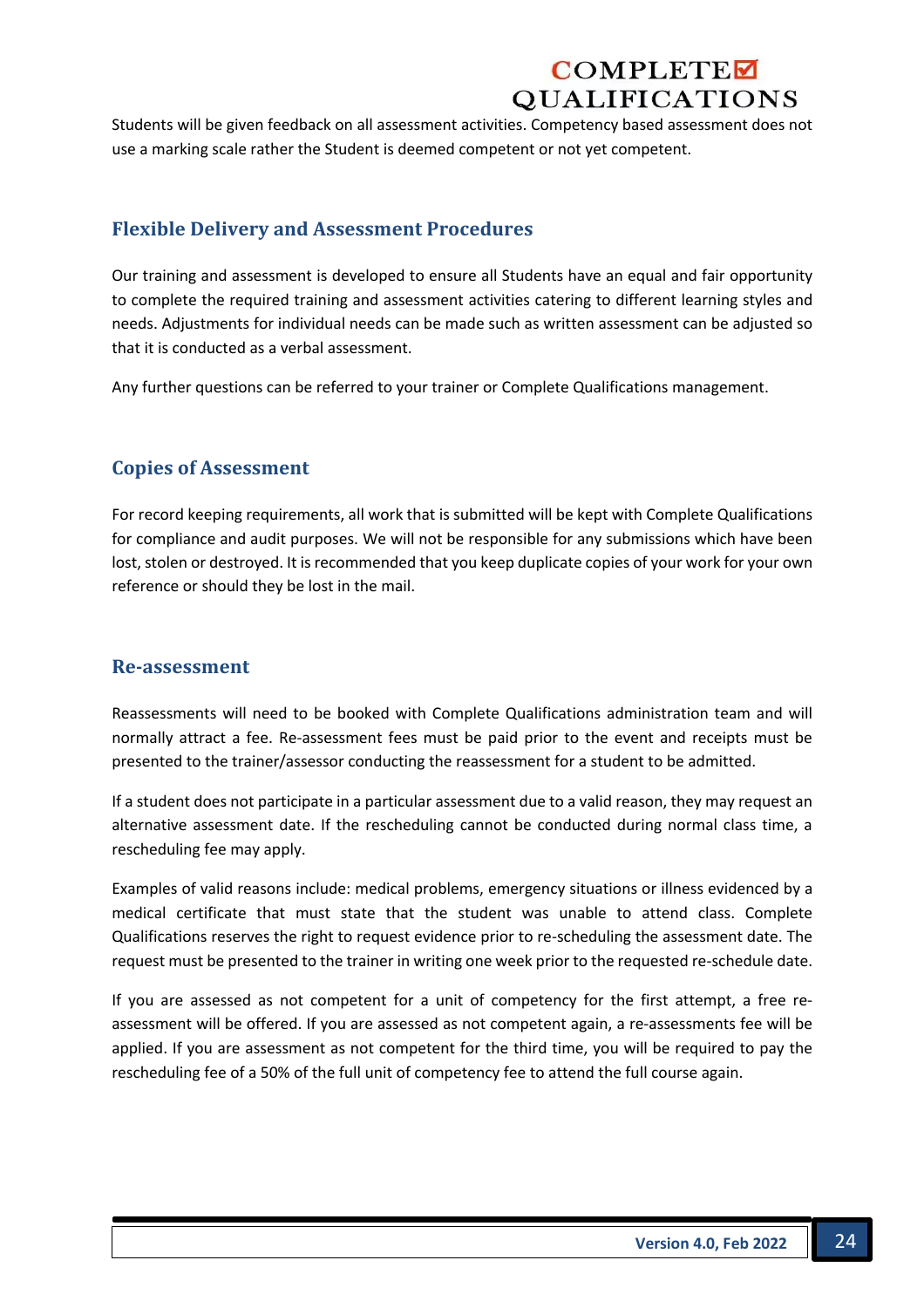Students will be given feedback on all assessment activities. Competency based assessment does not use a marking scale rather the Student is deemed competent or not yet competent.

#### **Flexible Delivery and Assessment Procedures**

Our training and assessment is developed to ensure all Students have an equal and fair opportunity to complete the required training and assessment activities catering to different learning styles and needs. Adjustments for individual needs can be made such as written assessment can be adjusted so that it is conducted as a verbal assessment.

Any further questions can be referred to your trainer or Complete Qualifications management.

#### **Copies of Assessment**

For record keeping requirements, all work that is submitted will be kept with Complete Qualifications for compliance and audit purposes. We will not be responsible for any submissions which have been lost, stolen or destroyed. It is recommended that you keep duplicate copies of your work for your own reference or should they be lost in the mail.

#### **Re-assessment**

Reassessments will need to be booked with Complete Qualifications administration team and will normally attract a fee. Re-assessment fees must be paid prior to the event and receipts must be presented to the trainer/assessor conducting the reassessment for a student to be admitted.

If a student does not participate in a particular assessment due to a valid reason, they may request an alternative assessment date. If the rescheduling cannot be conducted during normal class time, a rescheduling fee may apply.

Examples of valid reasons include: medical problems, emergency situations or illness evidenced by a medical certificate that must state that the student was unable to attend class. Complete Qualifications reserves the right to request evidence prior to re-scheduling the assessment date. The request must be presented to the trainer in writing one week prior to the requested re-schedule date.

If you are assessed as not competent for a unit of competency for the first attempt, a free reassessment will be offered. If you are assessed as not competent again, a re-assessments fee will be applied. If you are assessment as not competent for the third time, you will be required to pay the rescheduling fee of a 50% of the full unit of competency fee to attend the full course again.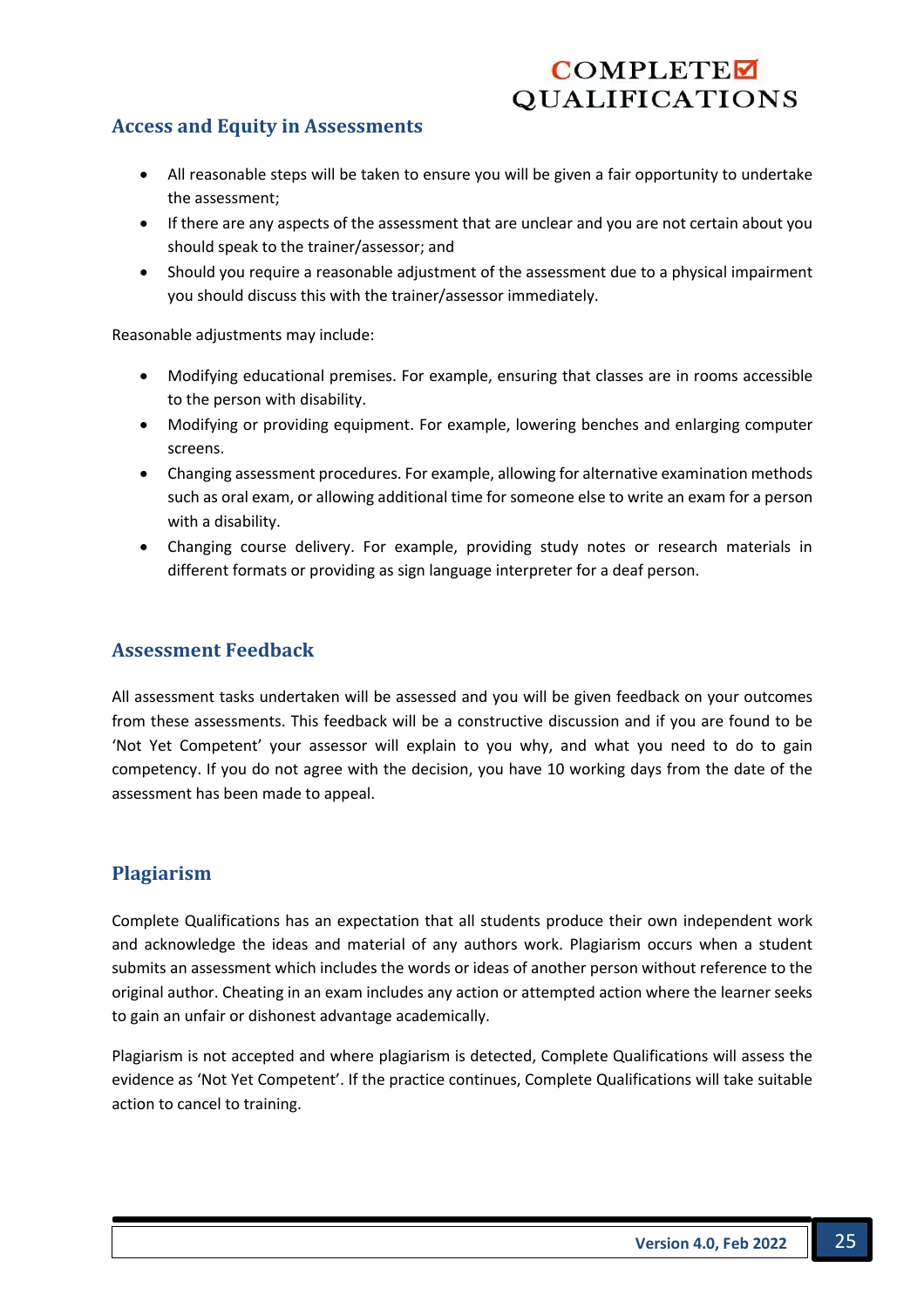### **Access and Equity in Assessments**

- All reasonable steps will be taken to ensure you will be given a fair opportunity to undertake the assessment;
- If there are any aspects of the assessment that are unclear and you are not certain about you should speak to the trainer/assessor; and
- Should you require a reasonable adjustment of the assessment due to a physical impairment you should discuss this with the trainer/assessor immediately.

Reasonable adjustments may include:

- Modifying educational premises. For example, ensuring that classes are in rooms accessible to the person with disability.
- Modifying or providing equipment. For example, lowering benches and enlarging computer screens.
- Changing assessment procedures. For example, allowing for alternative examination methods such as oral exam, or allowing additional time for someone else to write an exam for a person with a disability.
- Changing course delivery. For example, providing study notes or research materials in different formats or providing as sign language interpreter for a deaf person.

#### **Assessment Feedback**

All assessment tasks undertaken will be assessed and you will be given feedback on your outcomes from these assessments. This feedback will be a constructive discussion and if you are found to be 'Not Yet Competent' your assessor will explain to you why, and what you need to do to gain competency. If you do not agree with the decision, you have 10 working days from the date of the assessment has been made to appeal.

#### **Plagiarism**

Complete Qualifications has an expectation that all students produce their own independent work and acknowledge the ideas and material of any authors work. Plagiarism occurs when a student submits an assessment which includes the words or ideas of another person without reference to the original author. Cheating in an exam includes any action or attempted action where the learner seeks to gain an unfair or dishonest advantage academically.

Plagiarism is not accepted and where plagiarism is detected, Complete Qualifications will assess the evidence as 'Not Yet Competent'. If the practice continues, Complete Qualifications will take suitable action to cancel to training.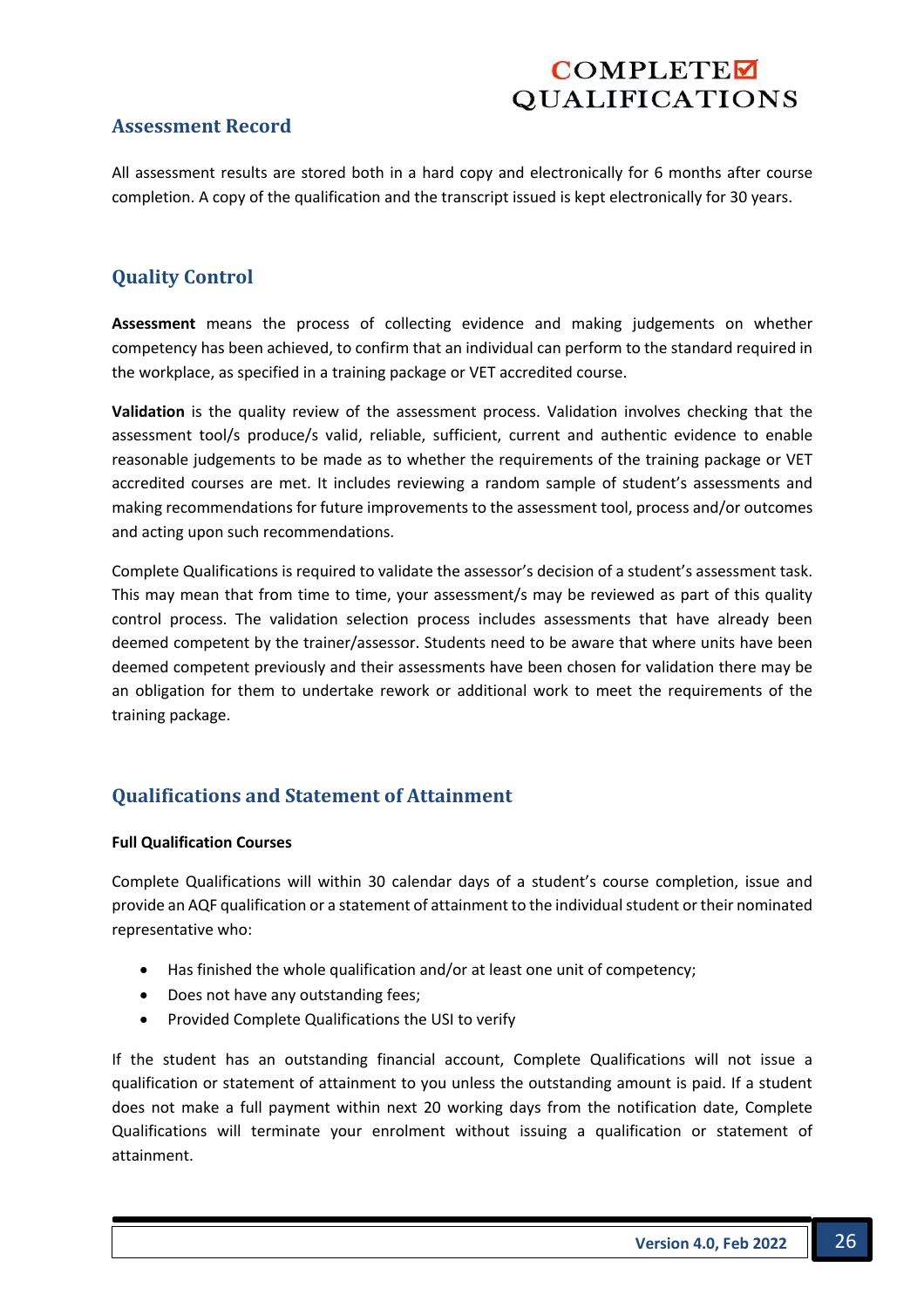#### **Assessment Record**

All assessment results are stored both in a hard copy and electronically for 6 months after course completion. A copy of the qualification and the transcript issued is kept electronically for 30 years.

## **Quality Control**

**Assessment** means the process of collecting evidence and making judgements on whether competency has been achieved, to confirm that an individual can perform to the standard required in the workplace, as specified in a training package or VET accredited course.

**Validation** is the quality review of the assessment process. Validation involves checking that the assessment tool/s produce/s valid, reliable, sufficient, current and authentic evidence to enable reasonable judgements to be made as to whether the requirements of the training package or VET accredited courses are met. It includes reviewing a random sample of student's assessments and making recommendations for future improvements to the assessment tool, process and/or outcomes and acting upon such recommendations.

Complete Qualifications is required to validate the assessor's decision of a student's assessment task. This may mean that from time to time, your assessment/s may be reviewed as part of this quality control process. The validation selection process includes assessments that have already been deemed competent by the trainer/assessor. Students need to be aware that where units have been deemed competent previously and their assessments have been chosen for validation there may be an obligation for them to undertake rework or additional work to meet the requirements of the training package.

## **Qualifications and Statement of Attainment**

#### **Full Qualification Courses**

Complete Qualifications will within 30 calendar days of a student's course completion, issue and provide an AQF qualification or a statement of attainment to the individual student or their nominated representative who:

- Has finished the whole qualification and/or at least one unit of competency;
- Does not have any outstanding fees;
- Provided Complete Qualifications the USI to verify

If the student has an outstanding financial account, Complete Qualifications will not issue a qualification or statement of attainment to you unless the outstanding amount is paid. If a student does not make a full payment within next 20 working days from the notification date, Complete Qualifications will terminate your enrolment without issuing a qualification or statement of attainment.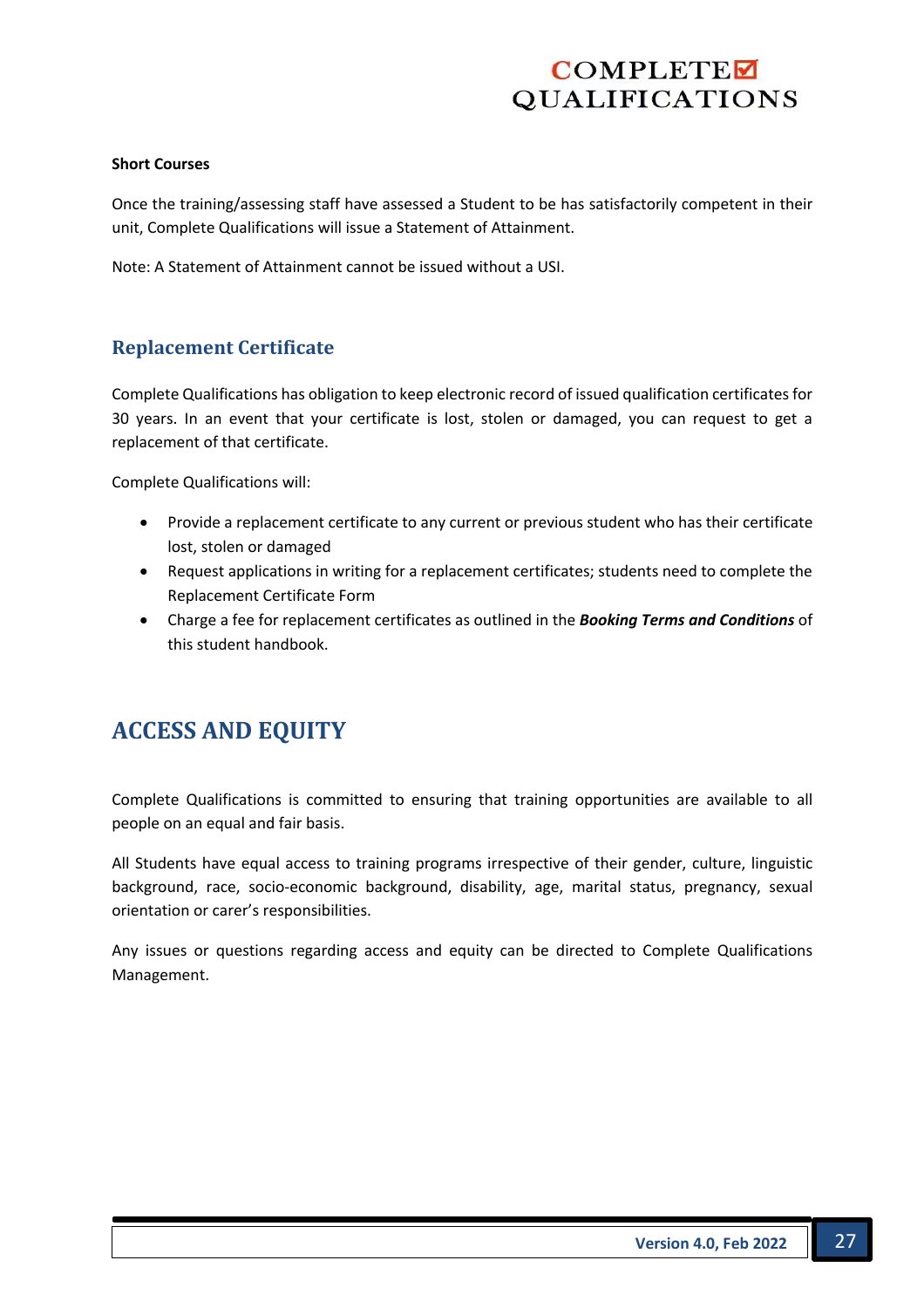#### **Short Courses**

Once the training/assessing staff have assessed a Student to be has satisfactorily competent in their unit, Complete Qualifications will issue a Statement of Attainment.

Note: A Statement of Attainment cannot be issued without a USI.

#### **Replacement Certificate**

Complete Qualifications has obligation to keep electronic record of issued qualification certificates for 30 years. In an event that your certificate is lost, stolen or damaged, you can request to get a replacement of that certificate.

Complete Qualifications will:

- Provide a replacement certificate to any current or previous student who has their certificate lost, stolen or damaged
- Request applications in writing for a replacement certificates; students need to complete the Replacement Certificate Form
- Charge a fee for replacement certificates as outlined in the *Booking Terms and Conditions* of this student handbook.

## **ACCESS AND EQUITY**

Complete Qualifications is committed to ensuring that training opportunities are available to all people on an equal and fair basis.

All Students have equal access to training programs irrespective of their gender, culture, linguistic background, race, socio-economic background, disability, age, marital status, pregnancy, sexual orientation or carer's responsibilities.

Any issues or questions regarding access and equity can be directed to Complete Qualifications Management.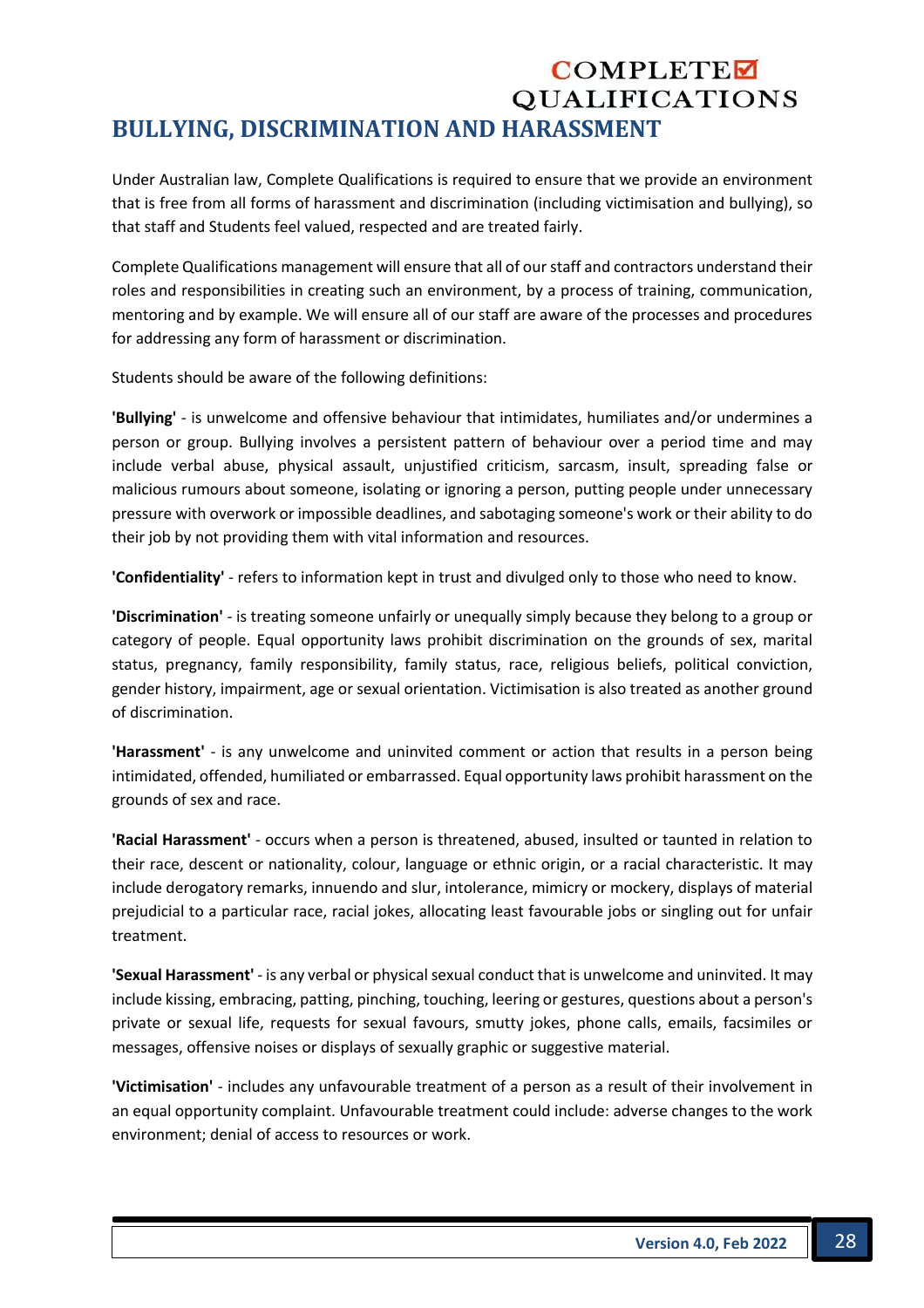## COMPLETE **QUALIFICATIONS BULLYING, DISCRIMINATION AND HARASSMENT**

Under Australian law, Complete Qualifications is required to ensure that we provide an environment that is free from all forms of harassment and discrimination (including victimisation and bullying), so that staff and Students feel valued, respected and are treated fairly.

Complete Qualifications management will ensure that all of our staff and contractors understand their roles and responsibilities in creating such an environment, by a process of training, communication, mentoring and by example. We will ensure all of our staff are aware of the processes and procedures for addressing any form of harassment or discrimination.

Students should be aware of the following definitions:

**'Bullying'** - is unwelcome and offensive behaviour that intimidates, humiliates and/or undermines a person or group. Bullying involves a persistent pattern of behaviour over a period time and may include verbal abuse, physical assault, unjustified criticism, sarcasm, insult, spreading false or malicious rumours about someone, isolating or ignoring a person, putting people under unnecessary pressure with overwork or impossible deadlines, and sabotaging someone's work or their ability to do their job by not providing them with vital information and resources.

**'Confidentiality'** - refers to information kept in trust and divulged only to those who need to know.

**'Discrimination'** - is treating someone unfairly or unequally simply because they belong to a group or category of people. Equal opportunity laws prohibit discrimination on the grounds of sex, marital status, pregnancy, family responsibility, family status, race, religious beliefs, political conviction, gender history, impairment, age or sexual orientation. Victimisation is also treated as another ground of discrimination.

**'Harassment'** - is any unwelcome and uninvited comment or action that results in a person being intimidated, offended, humiliated or embarrassed. Equal opportunity laws prohibit harassment on the grounds of sex and race.

**'Racial Harassment'** - occurs when a person is threatened, abused, insulted or taunted in relation to their race, descent or nationality, colour, language or ethnic origin, or a racial characteristic. It may include derogatory remarks, innuendo and slur, intolerance, mimicry or mockery, displays of material prejudicial to a particular race, racial jokes, allocating least favourable jobs or singling out for unfair treatment.

**'Sexual Harassment'** - is any verbal or physical sexual conduct that is unwelcome and uninvited. It may include kissing, embracing, patting, pinching, touching, leering or gestures, questions about a person's private or sexual life, requests for sexual favours, smutty jokes, phone calls, emails, facsimiles or messages, offensive noises or displays of sexually graphic or suggestive material.

**'Victimisation'** - includes any unfavourable treatment of a person as a result of their involvement in an equal opportunity complaint. Unfavourable treatment could include: adverse changes to the work environment; denial of access to resources or work.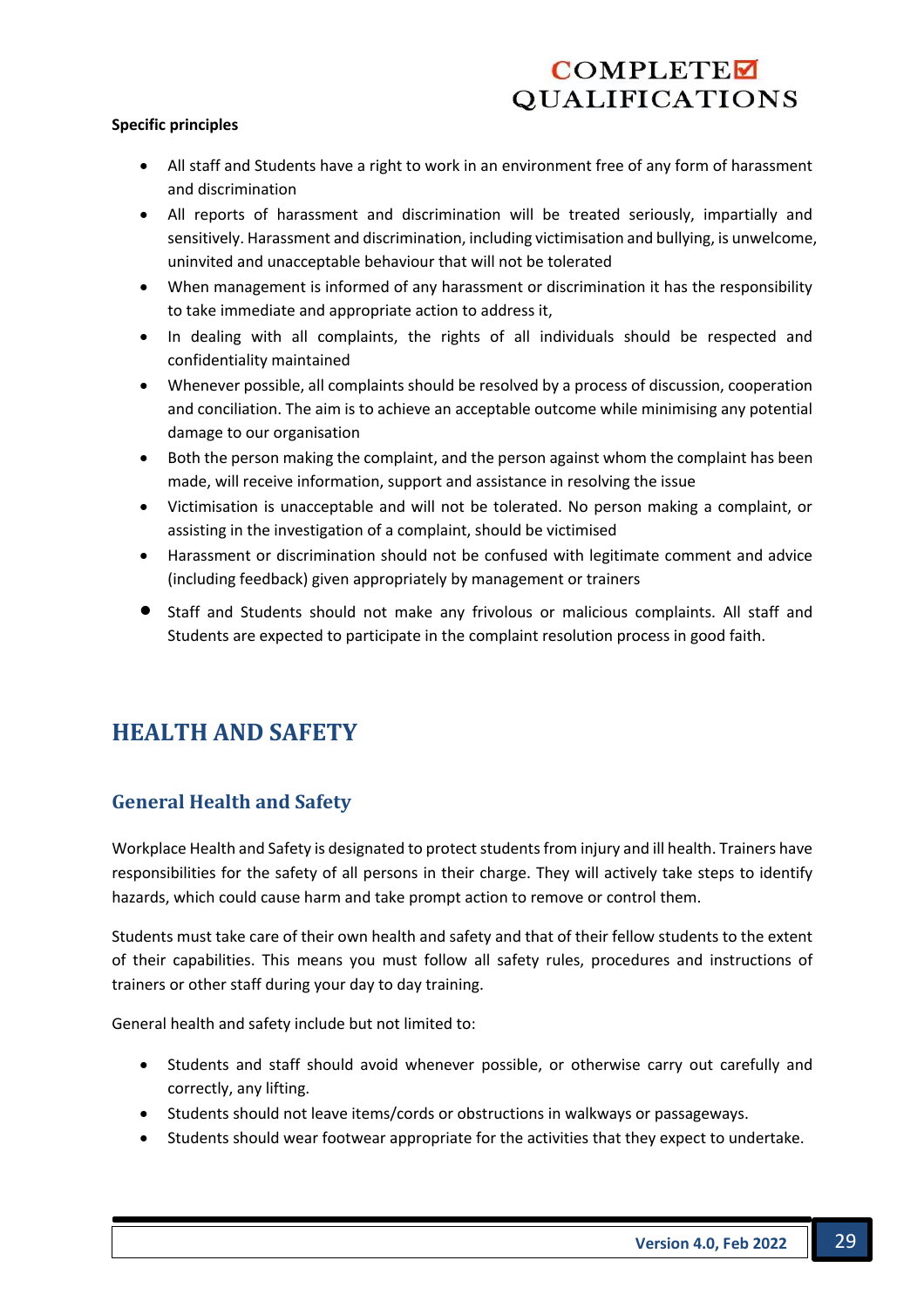#### **Specific principles**

- All staff and Students have a right to work in an environment free of any form of harassment and discrimination
- All reports of harassment and discrimination will be treated seriously, impartially and sensitively. Harassment and discrimination, including victimisation and bullying, is unwelcome, uninvited and unacceptable behaviour that will not be tolerated
- When management is informed of any harassment or discrimination it has the responsibility to take immediate and appropriate action to address it,
- In dealing with all complaints, the rights of all individuals should be respected and confidentiality maintained
- Whenever possible, all complaints should be resolved by a process of discussion, cooperation and conciliation. The aim is to achieve an acceptable outcome while minimising any potential damage to our organisation
- Both the person making the complaint, and the person against whom the complaint has been made, will receive information, support and assistance in resolving the issue
- Victimisation is unacceptable and will not be tolerated. No person making a complaint, or assisting in the investigation of a complaint, should be victimised
- Harassment or discrimination should not be confused with legitimate comment and advice (including feedback) given appropriately by management or trainers
- Staff and Students should not make any frivolous or malicious complaints. All staff and Students are expected to participate in the complaint resolution process in good faith.

## **HEALTH AND SAFETY**

#### **General Health and Safety**

Workplace Health and Safety is designated to protect students from injury and ill health. Trainers have responsibilities for the safety of all persons in their charge. They will actively take steps to identify hazards, which could cause harm and take prompt action to remove or control them.

Students must take care of their own health and safety and that of their fellow students to the extent of their capabilities. This means you must follow all safety rules, procedures and instructions of trainers or other staff during your day to day training.

General health and safety include but not limited to:

- Students and staff should avoid whenever possible, or otherwise carry out carefully and correctly, any lifting.
- Students should not leave items/cords or obstructions in walkways or passageways.
- Students should wear footwear appropriate for the activities that they expect to undertake.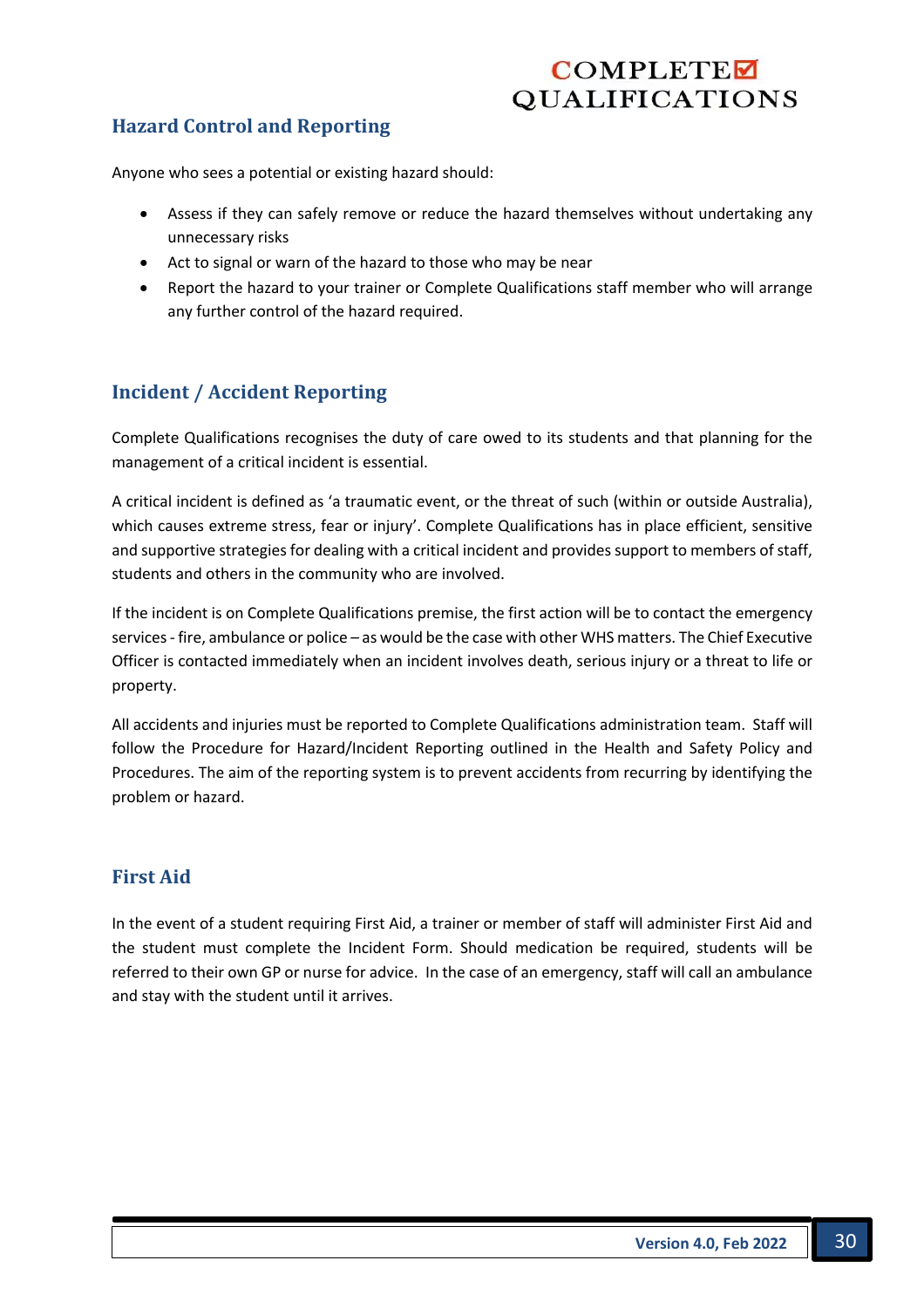## **Hazard Control and Reporting**

Anyone who sees a potential or existing hazard should:

- Assess if they can safely remove or reduce the hazard themselves without undertaking any unnecessary risks
- Act to signal or warn of the hazard to those who may be near
- Report the hazard to your trainer or Complete Qualifications staff member who will arrange any further control of the hazard required.

## **Incident / Accident Reporting**

Complete Qualifications recognises the duty of care owed to its students and that planning for the management of a critical incident is essential.

A critical incident is defined as 'a traumatic event, or the threat of such (within or outside Australia), which causes extreme stress, fear or injury'. Complete Qualifications has in place efficient, sensitive and supportive strategies for dealing with a critical incident and provides support to members of staff, students and others in the community who are involved.

If the incident is on Complete Qualifications premise, the first action will be to contact the emergency services - fire, ambulance or police – as would be the case with other WHS matters. The Chief Executive Officer is contacted immediately when an incident involves death, serious injury or a threat to life or property.

All accidents and injuries must be reported to Complete Qualifications administration team. Staff will follow the Procedure for Hazard/Incident Reporting outlined in the Health and Safety Policy and Procedures. The aim of the reporting system is to prevent accidents from recurring by identifying the problem or hazard.

## **First Aid**

In the event of a student requiring First Aid, a trainer or member of staff will administer First Aid and the student must complete the Incident Form. Should medication be required, students will be referred to their own GP or nurse for advice. In the case of an emergency, staff will call an ambulance and stay with the student until it arrives.